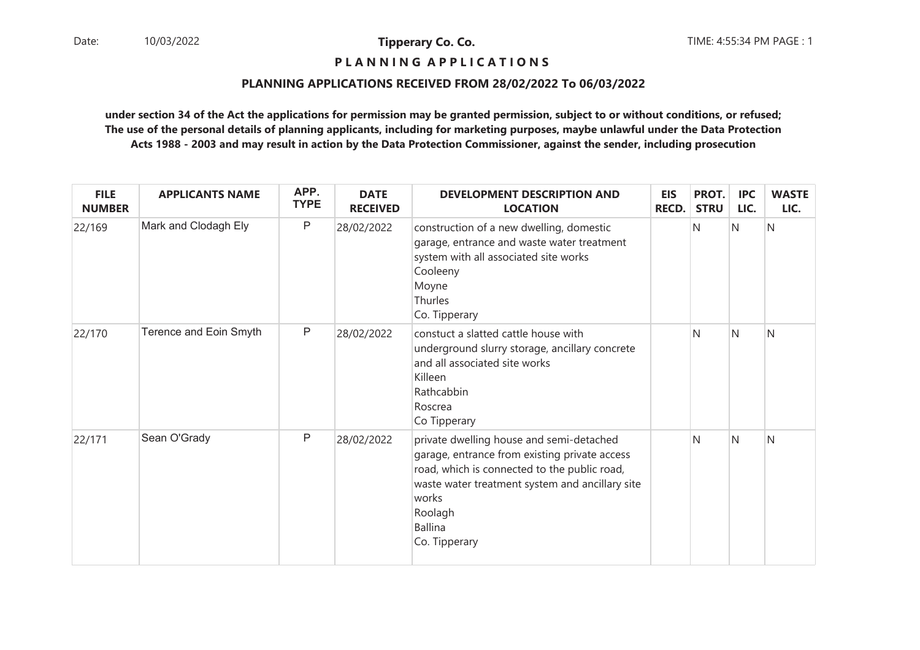## **P L A N N I N G A P P L I C A T I O N S**

#### **PLANNING APPLICATIONS RECEIVED FROM 28/02/2022 To 06/03/2022**

| <b>FILE</b><br><b>NUMBER</b> | <b>APPLICANTS NAME</b> | APP.<br><b>TYPE</b> | <b>DATE</b><br><b>RECEIVED</b> | <b>DEVELOPMENT DESCRIPTION AND</b><br><b>LOCATION</b>                                                                                                                                                                                               | <b>EIS</b><br><b>RECD.</b> | PROT.<br><b>STRU</b> | <b>IPC</b><br>LIC. | <b>WASTE</b><br>LIC. |
|------------------------------|------------------------|---------------------|--------------------------------|-----------------------------------------------------------------------------------------------------------------------------------------------------------------------------------------------------------------------------------------------------|----------------------------|----------------------|--------------------|----------------------|
| 22/169                       | Mark and Clodagh Ely   | $\mathsf{P}$        | 28/02/2022                     | construction of a new dwelling, domestic<br>garage, entrance and waste water treatment<br>system with all associated site works<br>Cooleeny<br>Moyne<br>Thurles<br>Co. Tipperary                                                                    |                            | N                    | N                  | N                    |
| 22/170                       | Terence and Eoin Smyth | $\sf P$             | 28/02/2022                     | constuct a slatted cattle house with<br>underground slurry storage, ancillary concrete<br>and all associated site works<br>Killeen<br>Rathcabbin<br>Roscrea<br>Co Tipperary                                                                         |                            | N                    | $\overline{N}$     | $\mathsf{N}$         |
| 22/171                       | Sean O'Grady           | $\mathsf{P}$        | 28/02/2022                     | private dwelling house and semi-detached<br>garage, entrance from existing private access<br>road, which is connected to the public road,<br>waste water treatment system and ancillary site<br>works<br>Roolagh<br><b>Ballina</b><br>Co. Tipperary |                            | N                    | N                  | $\mathsf{N}$         |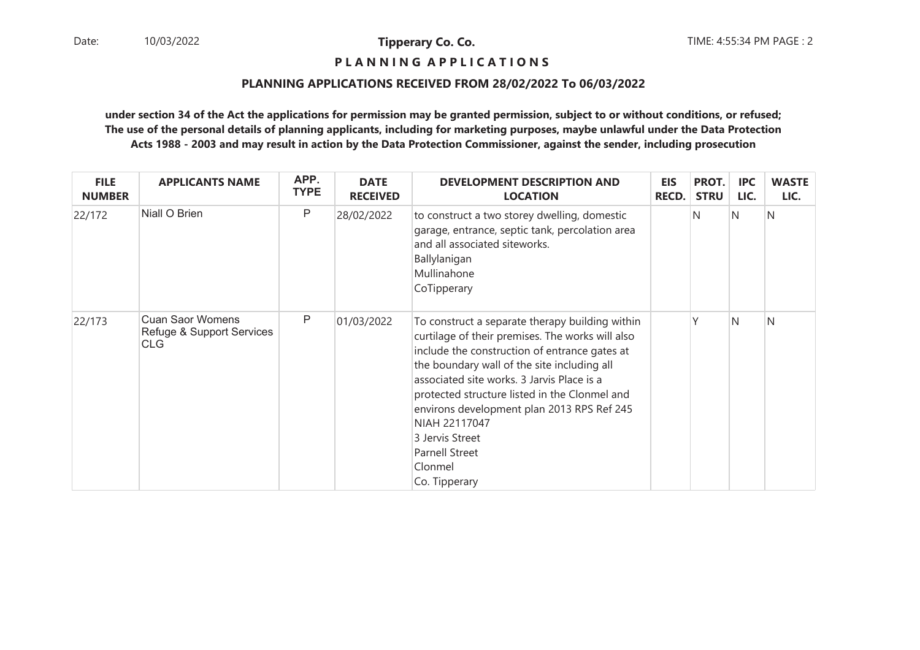**P L A N N I N G A P P L I C A T I O N S** 

#### **PLANNING APPLICATIONS RECEIVED FROM 28/02/2022 To 06/03/2022**

| <b>FILE</b><br><b>NUMBER</b> | <b>APPLICANTS NAME</b>                                      | APP.<br><b>TYPE</b> | <b>DATE</b><br><b>RECEIVED</b> | <b>DEVELOPMENT DESCRIPTION AND</b><br><b>LOCATION</b>                                                                                                                                                                                                                                                                                                                                                                                     | <b>EIS</b><br><b>RECD.</b> | PROT.<br><b>STRU</b> | <b>IPC</b><br>LIC. | <b>WASTE</b><br>LIC. |
|------------------------------|-------------------------------------------------------------|---------------------|--------------------------------|-------------------------------------------------------------------------------------------------------------------------------------------------------------------------------------------------------------------------------------------------------------------------------------------------------------------------------------------------------------------------------------------------------------------------------------------|----------------------------|----------------------|--------------------|----------------------|
| 22/172                       | Niall O Brien                                               | P                   | 28/02/2022                     | to construct a two storey dwelling, domestic<br>garage, entrance, septic tank, percolation area<br>and all associated siteworks.<br>Ballylanigan<br>Mullinahone<br>CoTipperary                                                                                                                                                                                                                                                            |                            | N                    | IN.                | N                    |
| 22/173                       | <b>Cuan Saor Womens</b><br>Refuge & Support Services<br>CLG | P                   | 01/03/2022                     | To construct a separate therapy building within<br>curtilage of their premises. The works will also<br>include the construction of entrance gates at<br>the boundary wall of the site including all<br>associated site works. 3 Jarvis Place is a<br>protected structure listed in the Clonmel and<br>environs development plan 2013 RPS Ref 245<br>NIAH 22117047<br>3 Jervis Street<br><b>Parnell Street</b><br>Clonmel<br>Co. Tipperary |                            |                      | IN.                | N                    |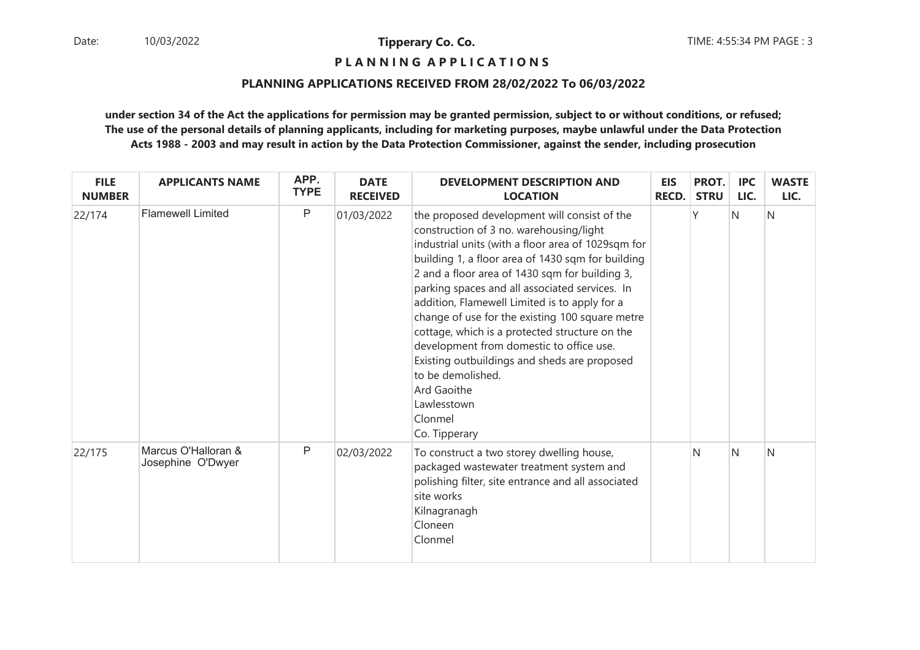**P L A N N I N G A P P L I C A T I O N S** 

#### **PLANNING APPLICATIONS RECEIVED FROM 28/02/2022 To 06/03/2022**

| <b>FILE</b><br><b>NUMBER</b> | <b>APPLICANTS NAME</b>                   | APP.<br><b>TYPE</b> | <b>DATE</b><br><b>RECEIVED</b> | <b>DEVELOPMENT DESCRIPTION AND</b><br><b>LOCATION</b>                                                                                                                                                                                                                                                                                                                                                                                                                                                                                                                                                                                   | <b>EIS</b><br><b>RECD.</b> | PROT.<br><b>STRU</b> | <b>IPC</b><br>LIC. | <b>WASTE</b><br>LIC. |
|------------------------------|------------------------------------------|---------------------|--------------------------------|-----------------------------------------------------------------------------------------------------------------------------------------------------------------------------------------------------------------------------------------------------------------------------------------------------------------------------------------------------------------------------------------------------------------------------------------------------------------------------------------------------------------------------------------------------------------------------------------------------------------------------------------|----------------------------|----------------------|--------------------|----------------------|
| 22/174                       | <b>Flamewell Limited</b>                 | P                   | 01/03/2022                     | the proposed development will consist of the<br>construction of 3 no. warehousing/light<br>industrial units (with a floor area of 1029sqm for<br>building 1, a floor area of 1430 sqm for building<br>2 and a floor area of 1430 sqm for building 3,<br>parking spaces and all associated services. In<br>addition, Flamewell Limited is to apply for a<br>change of use for the existing 100 square metre<br>cottage, which is a protected structure on the<br>development from domestic to office use.<br>Existing outbuildings and sheds are proposed<br>to be demolished.<br>Ard Gaoithe<br>Lawlesstown<br>Clonmel<br>Co. Tipperary |                            | ٧                    | $\overline{N}$     | N                    |
| 22/175                       | Marcus O'Halloran &<br>Josephine O'Dwyer | P                   | 02/03/2022                     | To construct a two storey dwelling house,<br>packaged wastewater treatment system and<br>polishing filter, site entrance and all associated<br>site works<br>Kilnagranagh<br>Cloneen<br>Clonmel                                                                                                                                                                                                                                                                                                                                                                                                                                         |                            | N                    | N                  | N                    |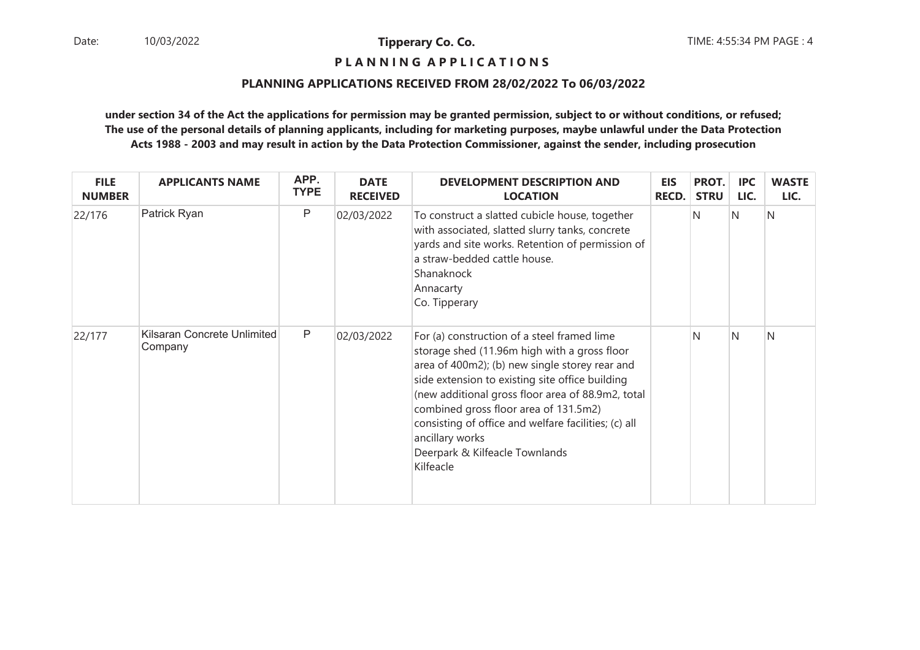## **P L A N N I N G A P P L I C A T I O N S**

#### **PLANNING APPLICATIONS RECEIVED FROM 28/02/2022 To 06/03/2022**

| <b>FILE</b><br><b>NUMBER</b> | <b>APPLICANTS NAME</b>                 | APP.<br><b>TYPE</b> | <b>DATE</b><br><b>RECEIVED</b> | <b>DEVELOPMENT DESCRIPTION AND</b><br><b>LOCATION</b>                                                                                                                                                                                                                                                                                                                                                                    | <b>EIS</b><br>RECD. | PROT.<br><b>STRU</b> | <b>IPC</b><br>LIC. | <b>WASTE</b><br>LIC. |
|------------------------------|----------------------------------------|---------------------|--------------------------------|--------------------------------------------------------------------------------------------------------------------------------------------------------------------------------------------------------------------------------------------------------------------------------------------------------------------------------------------------------------------------------------------------------------------------|---------------------|----------------------|--------------------|----------------------|
| 22/176                       | Patrick Ryan                           | $\mathsf{P}$        | 02/03/2022                     | To construct a slatted cubicle house, together<br>with associated, slatted slurry tanks, concrete<br>yards and site works. Retention of permission of<br>a straw-bedded cattle house.<br>Shanaknock<br>Annacarty<br>Co. Tipperary                                                                                                                                                                                        |                     | N                    | IN.                | N                    |
| 22/177                       | Kilsaran Concrete Unlimited<br>Company | $\mathsf{P}$        | 02/03/2022                     | For (a) construction of a steel framed lime<br>storage shed (11.96m high with a gross floor<br>area of 400m2); (b) new single storey rear and<br>side extension to existing site office building<br>(new additional gross floor area of 88.9m2, total<br>combined gross floor area of 131.5m2)<br>consisting of office and welfare facilities; (c) all<br>ancillary works<br>Deerpark & Kilfeacle Townlands<br>Kilfeacle |                     | N                    | N                  | N                    |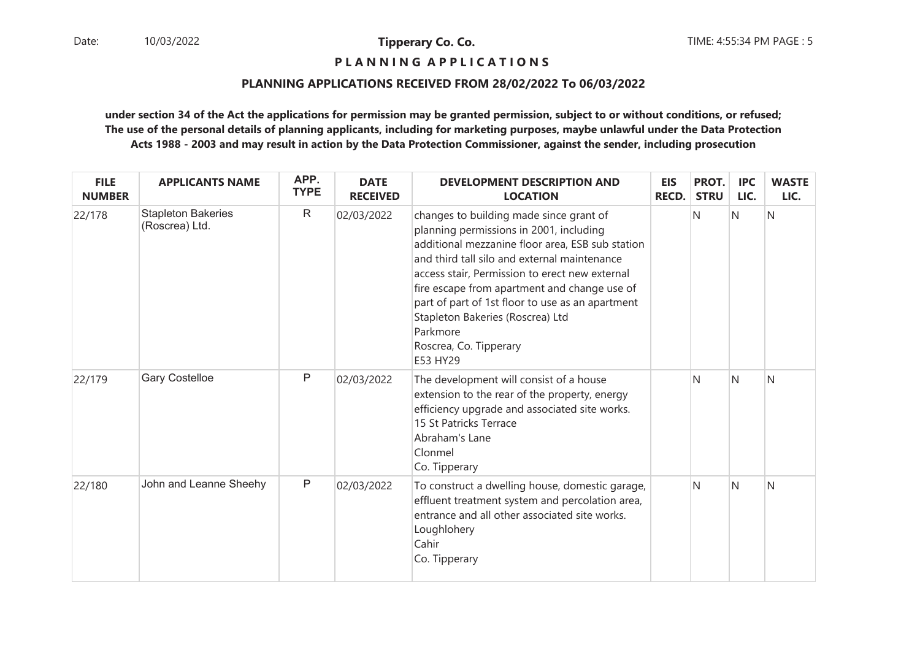**P L A N N I N G A P P L I C A T I O N S** 

#### **PLANNING APPLICATIONS RECEIVED FROM 28/02/2022 To 06/03/2022**

| <b>FILE</b><br><b>NUMBER</b> | <b>APPLICANTS NAME</b>                      | APP.<br><b>TYPE</b> | <b>DATE</b><br><b>RECEIVED</b> | <b>DEVELOPMENT DESCRIPTION AND</b><br><b>LOCATION</b>                                                                                                                                                                                                                                                                                                                                                                              | <b>EIS</b><br><b>RECD.</b> | PROT.<br><b>STRU</b> | <b>IPC</b><br>LIC. | <b>WASTE</b><br>LIC. |
|------------------------------|---------------------------------------------|---------------------|--------------------------------|------------------------------------------------------------------------------------------------------------------------------------------------------------------------------------------------------------------------------------------------------------------------------------------------------------------------------------------------------------------------------------------------------------------------------------|----------------------------|----------------------|--------------------|----------------------|
| 22/178                       | <b>Stapleton Bakeries</b><br>(Roscrea) Ltd. | $\mathsf{R}$        | 02/03/2022                     | changes to building made since grant of<br>planning permissions in 2001, including<br>additional mezzanine floor area, ESB sub station<br>and third tall silo and external maintenance<br>access stair, Permission to erect new external<br>fire escape from apartment and change use of<br>part of part of 1st floor to use as an apartment<br>Stapleton Bakeries (Roscrea) Ltd<br>Parkmore<br>Roscrea, Co. Tipperary<br>E53 HY29 |                            | N                    | $\overline{N}$     | N                    |
| 22/179                       | <b>Gary Costelloe</b>                       | P                   | 02/03/2022                     | The development will consist of a house<br>extension to the rear of the property, energy<br>efficiency upgrade and associated site works.<br>15 St Patricks Terrace<br>Abraham's Lane<br>Clonmel<br>Co. Tipperary                                                                                                                                                                                                                  |                            | N                    | N                  | N                    |
| 22/180                       | John and Leanne Sheehy                      | $\mathsf{P}$        | 02/03/2022                     | To construct a dwelling house, domestic garage,<br>effluent treatment system and percolation area,<br>entrance and all other associated site works.<br>Loughlohery<br>Cahir<br>Co. Tipperary                                                                                                                                                                                                                                       |                            | N                    | $\overline{N}$     | N                    |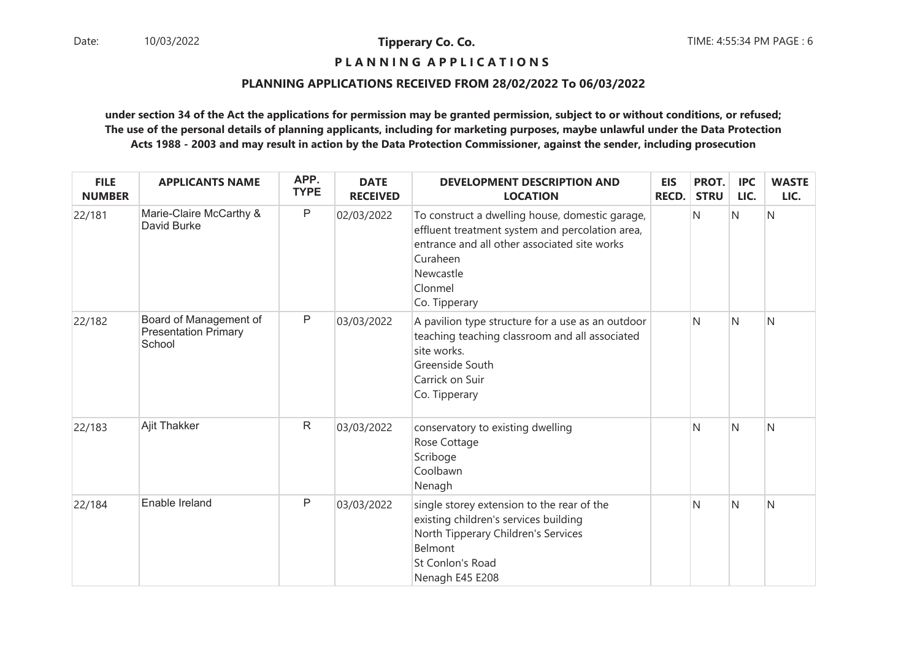## **P L A N N I N G A P P L I C A T I O N S**

#### **PLANNING APPLICATIONS RECEIVED FROM 28/02/2022 To 06/03/2022**

| <b>FILE</b><br><b>NUMBER</b> | <b>APPLICANTS NAME</b>                                          | APP.<br><b>TYPE</b> | <b>DATE</b><br><b>RECEIVED</b> | <b>DEVELOPMENT DESCRIPTION AND</b><br><b>LOCATION</b>                                                                                                                                                   | <b>EIS</b><br><b>RECD.</b> | PROT.<br><b>STRU</b> | <b>IPC</b><br>LIC. | <b>WASTE</b><br>LIC. |
|------------------------------|-----------------------------------------------------------------|---------------------|--------------------------------|---------------------------------------------------------------------------------------------------------------------------------------------------------------------------------------------------------|----------------------------|----------------------|--------------------|----------------------|
| 22/181                       | Marie-Claire McCarthy &<br>David Burke                          | $\sf P$             | 02/03/2022                     | To construct a dwelling house, domestic garage,<br>effluent treatment system and percolation area,<br>entrance and all other associated site works<br>Curaheen<br>Newcastle<br>Clonmel<br>Co. Tipperary |                            | N                    | Ν                  | N                    |
| 22/182                       | Board of Management of<br><b>Presentation Primary</b><br>School | $\sf P$             | 03/03/2022                     | A pavilion type structure for a use as an outdoor<br>teaching teaching classroom and all associated<br>site works.<br>Greenside South<br>Carrick on Suir<br>Co. Tipperary                               |                            | N                    | N                  | N                    |
| 22/183                       | <b>Ajit Thakker</b>                                             | $\mathsf{R}$        | 03/03/2022                     | conservatory to existing dwelling<br>Rose Cottage<br>Scriboge<br>Coolbawn<br>Nenagh                                                                                                                     |                            | N                    | N                  | N                    |
| 22/184                       | Enable Ireland                                                  | $\mathsf{P}$        | 03/03/2022                     | single storey extension to the rear of the<br>existing children's services building<br>North Tipperary Children's Services<br>Belmont<br>St Conlon's Road<br>Nenagh E45 E208                            |                            | N                    | N                  | N                    |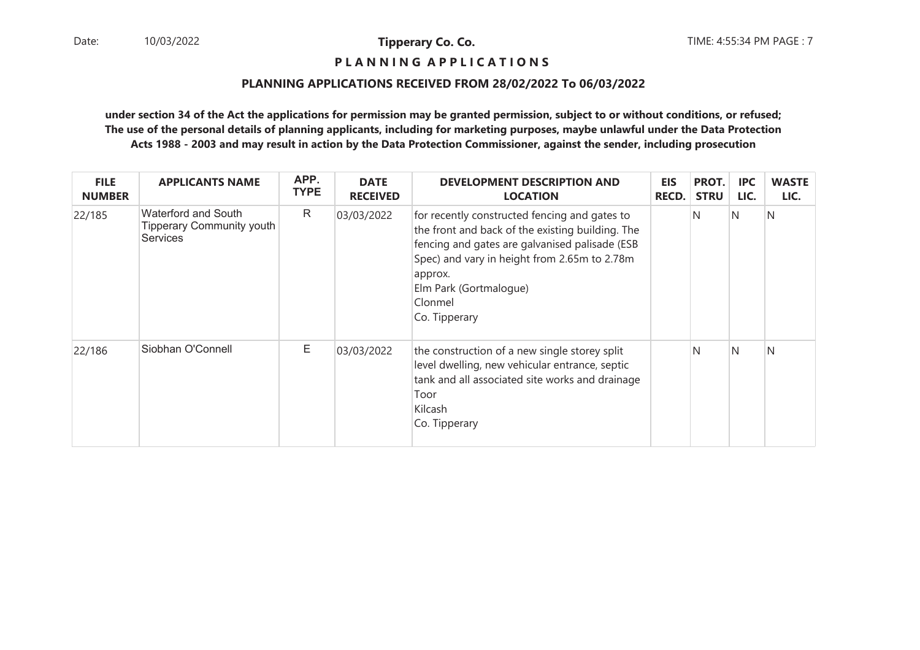## **P L A N N I N G A P P L I C A T I O N S**

#### **PLANNING APPLICATIONS RECEIVED FROM 28/02/2022 To 06/03/2022**

| <b>FILE</b><br><b>NUMBER</b> | <b>APPLICANTS NAME</b>                                                     | APP.<br><b>TYPE</b> | <b>DATE</b><br><b>RECEIVED</b> | <b>DEVELOPMENT DESCRIPTION AND</b><br><b>LOCATION</b>                                                                                                                                                                                                                | <b>EIS</b><br><b>RECD.</b> | PROT.<br><b>STRU</b> | <b>IPC</b><br>LIC. | <b>WASTE</b><br>LIC. |
|------------------------------|----------------------------------------------------------------------------|---------------------|--------------------------------|----------------------------------------------------------------------------------------------------------------------------------------------------------------------------------------------------------------------------------------------------------------------|----------------------------|----------------------|--------------------|----------------------|
| 22/185                       | Waterford and South<br><b>Tipperary Community youth</b><br><b>Services</b> | R                   | 03/03/2022                     | for recently constructed fencing and gates to<br>the front and back of the existing building. The<br>fencing and gates are galvanised palisade (ESB<br>Spec) and vary in height from 2.65m to 2.78m<br>approx.<br>Elm Park (Gortmalogue)<br>Clonmel<br>Co. Tipperary |                            | N                    | IN.                | N                    |
| 22/186                       | Siobhan O'Connell                                                          | E                   | 03/03/2022                     | the construction of a new single storey split<br>level dwelling, new vehicular entrance, septic<br>tank and all associated site works and drainage<br>Toor<br>Kilcash<br>Co. Tipperary                                                                               |                            | N                    | N                  | N                    |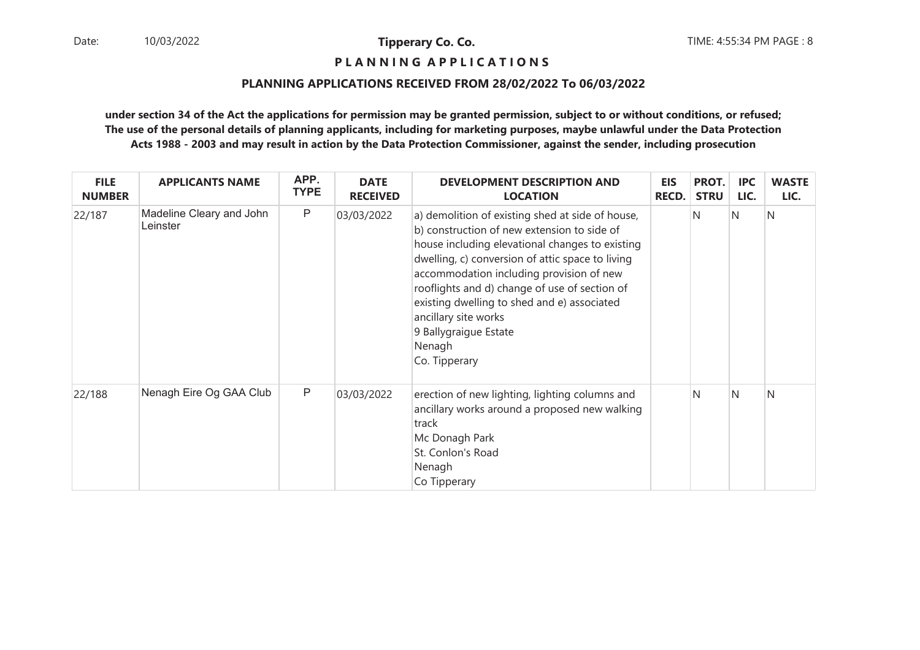**P L A N N I N G A P P L I C A T I O N S** 

#### **PLANNING APPLICATIONS RECEIVED FROM 28/02/2022 To 06/03/2022**

| <b>FILE</b><br><b>NUMBER</b> | <b>APPLICANTS NAME</b>               | APP.<br><b>TYPE</b> | <b>DATE</b><br><b>RECEIVED</b> | <b>DEVELOPMENT DESCRIPTION AND</b><br><b>LOCATION</b>                                                                                                                                                                                                                                                                                                                                                                          | <b>EIS</b><br><b>RECD.</b> | PROT.<br><b>STRU</b> | <b>IPC</b><br>LIC. | <b>WASTE</b><br>LIC. |
|------------------------------|--------------------------------------|---------------------|--------------------------------|--------------------------------------------------------------------------------------------------------------------------------------------------------------------------------------------------------------------------------------------------------------------------------------------------------------------------------------------------------------------------------------------------------------------------------|----------------------------|----------------------|--------------------|----------------------|
| 22/187                       | Madeline Cleary and John<br>Leinster | $\mathsf{P}$        | 03/03/2022                     | a) demolition of existing shed at side of house,<br>b) construction of new extension to side of<br>house including elevational changes to existing<br>dwelling, c) conversion of attic space to living<br>accommodation including provision of new<br>rooflights and d) change of use of section of<br>existing dwelling to shed and e) associated<br>ancillary site works<br>9 Ballygraigue Estate<br>Nenagh<br>Co. Tipperary |                            | N                    | IN.                | N                    |
| 22/188                       | Nenagh Eire Og GAA Club              | $\mathsf{P}$        | 03/03/2022                     | erection of new lighting, lighting columns and<br>ancillary works around a proposed new walking<br>track<br>Mc Donagh Park<br>St. Conlon's Road<br>Nenagh<br>Co Tipperary                                                                                                                                                                                                                                                      |                            | N                    | IN.                | N                    |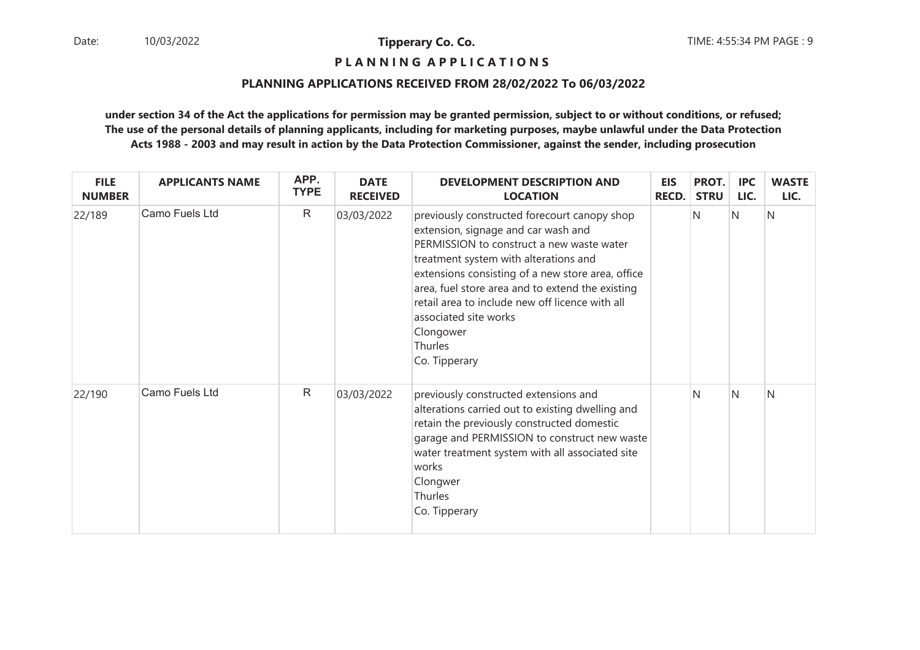**P L A N N I N G A P P L I C A T I O N S** 

#### **PLANNING APPLICATIONS RECEIVED FROM 28/02/2022 To 06/03/2022**

| <b>FILE</b><br><b>NUMBER</b> | <b>APPLICANTS NAME</b> | APP.<br><b>TYPE</b> | <b>DATE</b><br><b>RECEIVED</b> | <b>DEVELOPMENT DESCRIPTION AND</b><br><b>LOCATION</b>                                                                                                                                                                                                                                                                                                                                                   | <b>EIS</b><br><b>RECD.</b> | PROT.<br><b>STRU</b> | <b>IPC</b><br>LIC. | <b>WASTE</b><br>LIC. |
|------------------------------|------------------------|---------------------|--------------------------------|---------------------------------------------------------------------------------------------------------------------------------------------------------------------------------------------------------------------------------------------------------------------------------------------------------------------------------------------------------------------------------------------------------|----------------------------|----------------------|--------------------|----------------------|
| 22/189                       | Camo Fuels Ltd         | $\mathsf{R}$        | 03/03/2022                     | previously constructed forecourt canopy shop<br>extension, signage and car wash and<br>PERMISSION to construct a new waste water<br>treatment system with alterations and<br>extensions consisting of a new store area, office<br>area, fuel store area and to extend the existing<br>retail area to include new off licence with all<br>associated site works<br>Clongower<br>Thurles<br>Co. Tipperary |                            | N                    | N                  | N                    |
| 22/190                       | Camo Fuels Ltd         | $\mathsf{R}$        | 03/03/2022                     | previously constructed extensions and<br>alterations carried out to existing dwelling and<br>retain the previously constructed domestic<br>garage and PERMISSION to construct new waste<br>water treatment system with all associated site<br>works<br>Clongwer<br>Thurles<br>Co. Tipperary                                                                                                             |                            | N                    | IN.                | N                    |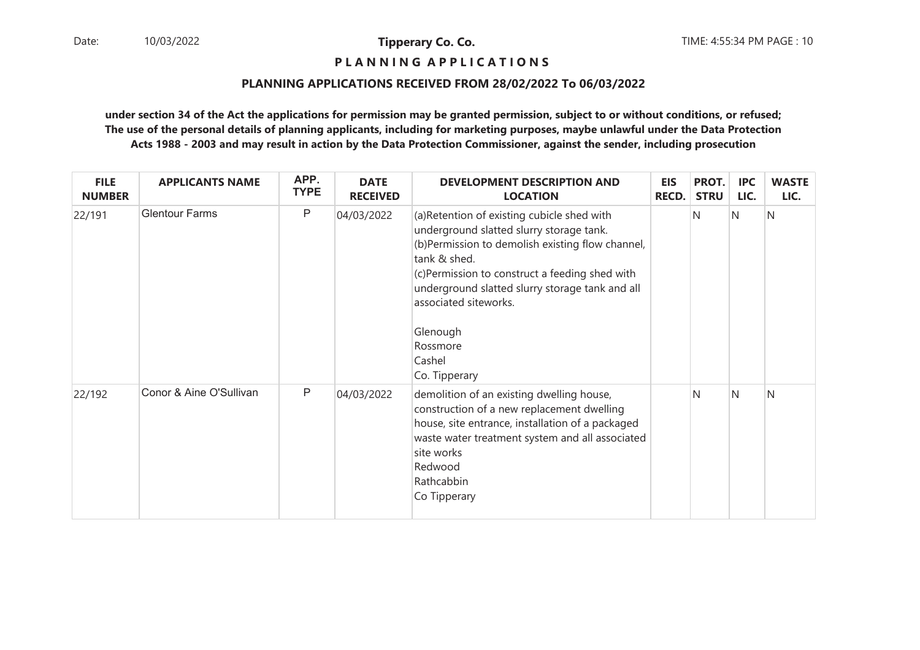## **P L A N N I N G A P P L I C A T I O N S**

#### **PLANNING APPLICATIONS RECEIVED FROM 28/02/2022 To 06/03/2022**

| <b>FILE</b><br><b>NUMBER</b> | <b>APPLICANTS NAME</b>  | APP.<br><b>TYPE</b> | <b>DATE</b><br><b>RECEIVED</b> | <b>DEVELOPMENT DESCRIPTION AND</b><br><b>LOCATION</b>                                                                                                                                                                                                                                                                                        | <b>EIS</b><br><b>RECD.</b> | PROT.<br><b>STRU</b> | <b>IPC</b><br>LIC. | <b>WASTE</b><br>LIC. |
|------------------------------|-------------------------|---------------------|--------------------------------|----------------------------------------------------------------------------------------------------------------------------------------------------------------------------------------------------------------------------------------------------------------------------------------------------------------------------------------------|----------------------------|----------------------|--------------------|----------------------|
| 22/191                       | <b>Glentour Farms</b>   | P                   | 04/03/2022                     | (a) Retention of existing cubicle shed with<br>underground slatted slurry storage tank.<br>(b)Permission to demolish existing flow channel,<br>tank & shed.<br>(c)Permission to construct a feeding shed with<br>underground slatted slurry storage tank and all<br>associated siteworks.<br>Glenough<br>Rossmore<br>Cashel<br>Co. Tipperary |                            | N                    | N                  | N                    |
| 22/192                       | Conor & Aine O'Sullivan | $\mathsf{P}$        | 04/03/2022                     | demolition of an existing dwelling house,<br>construction of a new replacement dwelling<br>house, site entrance, installation of a packaged<br>waste water treatment system and all associated<br>site works<br>Redwood<br>Rathcabbin<br>Co Tipperary                                                                                        |                            | N                    | $\overline{N}$     | N                    |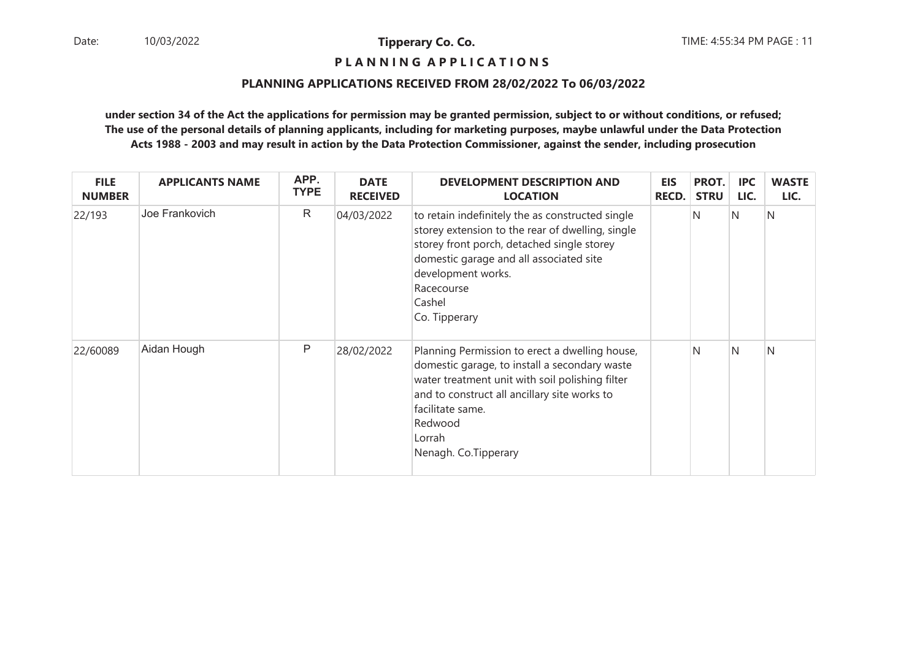## **P L A N N I N G A P P L I C A T I O N S**

#### **PLANNING APPLICATIONS RECEIVED FROM 28/02/2022 To 06/03/2022**

| <b>FILE</b><br><b>NUMBER</b> | <b>APPLICANTS NAME</b> | APP.<br><b>TYPE</b> | <b>DATE</b><br><b>RECEIVED</b> | <b>DEVELOPMENT DESCRIPTION AND</b><br><b>LOCATION</b>                                                                                                                                                                                                               | <b>EIS</b><br><b>RECD.</b> | PROT.<br><b>STRU</b> | <b>IPC</b><br>LIC. | <b>WASTE</b><br>LIC. |
|------------------------------|------------------------|---------------------|--------------------------------|---------------------------------------------------------------------------------------------------------------------------------------------------------------------------------------------------------------------------------------------------------------------|----------------------------|----------------------|--------------------|----------------------|
| 22/193                       | Joe Frankovich         | $\mathsf{R}$        | 04/03/2022                     | to retain indefinitely the as constructed single<br>storey extension to the rear of dwelling, single<br>storey front porch, detached single storey<br>domestic garage and all associated site<br>development works.<br>Racecourse<br>Cashel<br>Co. Tipperary        |                            | N                    | IN.                | N                    |
| 22/60089                     | Aidan Hough            | P                   | 28/02/2022                     | Planning Permission to erect a dwelling house,<br>domestic garage, to install a secondary waste<br>water treatment unit with soil polishing filter<br>and to construct all ancillary site works to<br>facilitate same.<br>Redwood<br>Lorrah<br>Nenagh. Co.Tipperary |                            | N                    | IN.                | N                    |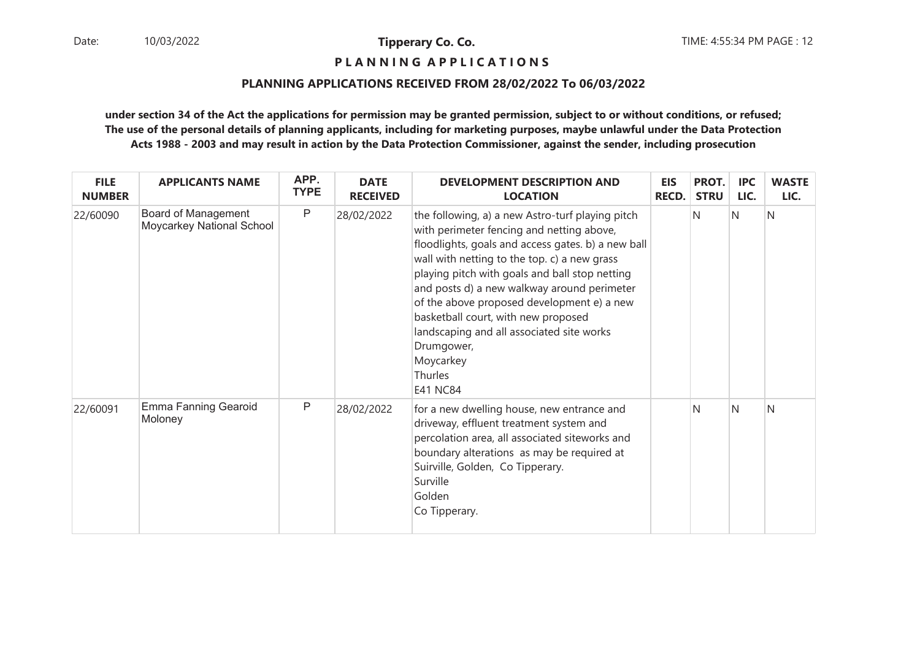## **P L A N N I N G A P P L I C A T I O N S**

#### **PLANNING APPLICATIONS RECEIVED FROM 28/02/2022 To 06/03/2022**

| <b>FILE</b><br><b>NUMBER</b> | <b>APPLICANTS NAME</b>                           | APP.<br><b>TYPE</b> | <b>DATE</b><br><b>RECEIVED</b> | <b>DEVELOPMENT DESCRIPTION AND</b><br><b>LOCATION</b>                                                                                                                                                                                                                                                                                                                                                                                                                                           | <b>EIS</b><br><b>RECD.</b> | PROT.<br><b>STRU</b> | <b>IPC</b><br>LIC. | <b>WASTE</b><br>LIC. |
|------------------------------|--------------------------------------------------|---------------------|--------------------------------|-------------------------------------------------------------------------------------------------------------------------------------------------------------------------------------------------------------------------------------------------------------------------------------------------------------------------------------------------------------------------------------------------------------------------------------------------------------------------------------------------|----------------------------|----------------------|--------------------|----------------------|
| 22/60090                     | Board of Management<br>Moycarkey National School | $\mathsf{P}$        | 28/02/2022                     | the following, a) a new Astro-turf playing pitch<br>with perimeter fencing and netting above,<br>floodlights, goals and access gates. b) a new ball<br>wall with netting to the top. c) a new grass<br>playing pitch with goals and ball stop netting<br>and posts d) a new walkway around perimeter<br>of the above proposed development e) a new<br>basketball court, with new proposed<br>landscaping and all associated site works<br>Drumgower,<br>Moycarkey<br>Thurles<br><b>E41 NC84</b> |                            | N                    | IN.                | N                    |
| 22/60091                     | <b>Emma Fanning Gearoid</b><br>Moloney           | P                   | 28/02/2022                     | for a new dwelling house, new entrance and<br>driveway, effluent treatment system and<br>percolation area, all associated siteworks and<br>boundary alterations as may be required at<br>Suirville, Golden, Co Tipperary.<br>Surville<br>Golden<br>Co Tipperary.                                                                                                                                                                                                                                |                            | N                    | N                  | N                    |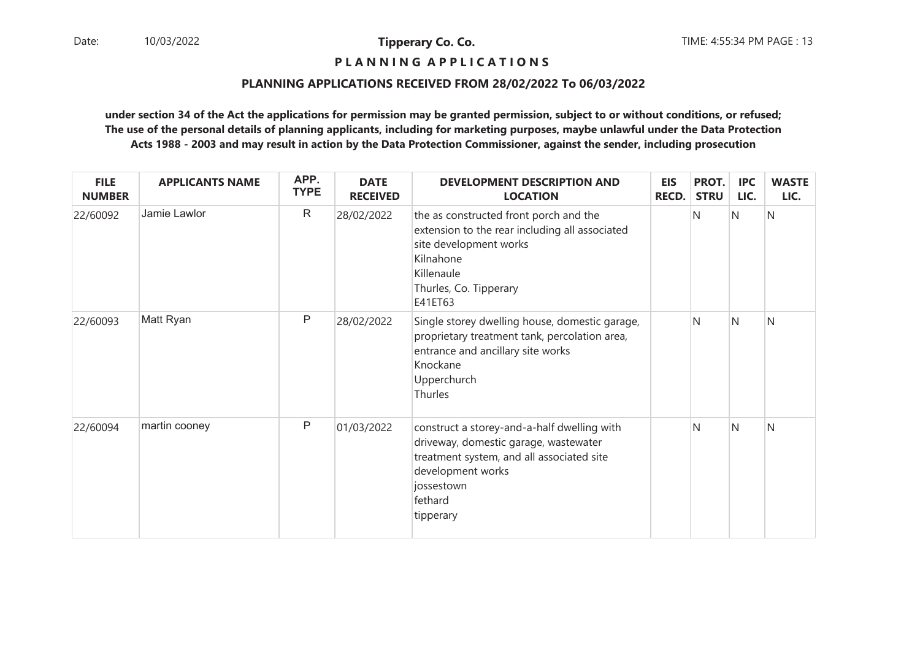## **P L A N N I N G A P P L I C A T I O N S**

#### **PLANNING APPLICATIONS RECEIVED FROM 28/02/2022 To 06/03/2022**

| <b>FILE</b><br><b>NUMBER</b> | <b>APPLICANTS NAME</b> | APP.<br><b>TYPE</b> | <b>DATE</b><br><b>RECEIVED</b> | <b>DEVELOPMENT DESCRIPTION AND</b><br><b>LOCATION</b>                                                                                                                                        | <b>EIS</b><br><b>RECD.</b> | PROT.<br><b>STRU</b> | <b>IPC</b><br>LIC. | <b>WASTE</b><br>LIC. |
|------------------------------|------------------------|---------------------|--------------------------------|----------------------------------------------------------------------------------------------------------------------------------------------------------------------------------------------|----------------------------|----------------------|--------------------|----------------------|
| 22/60092                     | Jamie Lawlor           | $\mathsf{R}$        | 28/02/2022                     | the as constructed front porch and the<br>extension to the rear including all associated<br>site development works<br>Kilnahone<br>Killenaule<br>Thurles, Co. Tipperary<br>E41ET63           |                            | N                    | N                  | N                    |
| 22/60093                     | Matt Ryan              | P                   | 28/02/2022                     | Single storey dwelling house, domestic garage,<br>proprietary treatment tank, percolation area,<br>entrance and ancillary site works<br>Knockane<br>Upperchurch<br>Thurles                   |                            | N                    | IN.                | N                    |
| 22/60094                     | martin cooney          | P                   | 01/03/2022                     | construct a storey-and-a-half dwelling with<br>driveway, domestic garage, wastewater<br>treatment system, and all associated site<br>development works<br>jossestown<br>fethard<br>tipperary |                            | N                    | IN.                | N                    |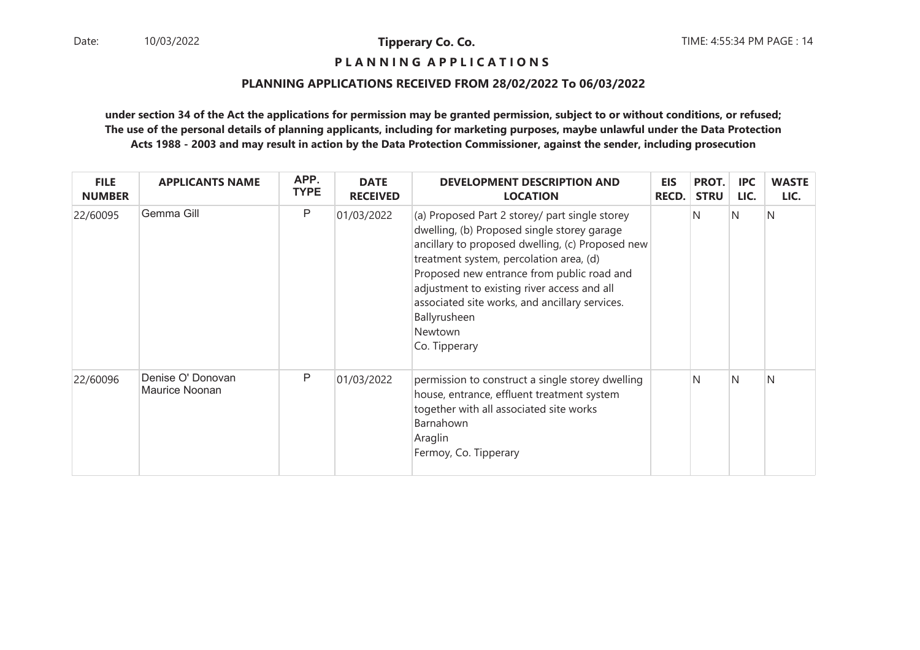## **P L A N N I N G A P P L I C A T I O N S**

#### **PLANNING APPLICATIONS RECEIVED FROM 28/02/2022 To 06/03/2022**

| <b>FILE</b><br><b>NUMBER</b> | <b>APPLICANTS NAME</b>              | APP.<br><b>TYPE</b> | <b>DATE</b><br><b>RECEIVED</b> | <b>DEVELOPMENT DESCRIPTION AND</b><br><b>LOCATION</b>                                                                                                                                                                                                                                                                                                                                   | <b>EIS</b><br><b>RECD.</b> | PROT.<br><b>STRU</b> | <b>IPC</b><br>LIC. | <b>WASTE</b><br>LIC. |
|------------------------------|-------------------------------------|---------------------|--------------------------------|-----------------------------------------------------------------------------------------------------------------------------------------------------------------------------------------------------------------------------------------------------------------------------------------------------------------------------------------------------------------------------------------|----------------------------|----------------------|--------------------|----------------------|
| 22/60095                     | Gemma Gill                          | P                   | 01/03/2022                     | (a) Proposed Part 2 storey/ part single storey<br>dwelling, (b) Proposed single storey garage<br>ancillary to proposed dwelling, (c) Proposed new<br>treatment system, percolation area, (d)<br>Proposed new entrance from public road and<br>adjustment to existing river access and all<br>associated site works, and ancillary services.<br>Ballyrusheen<br>Newtown<br>Co. Tipperary |                            | N                    | IN.                | N                    |
| 22/60096                     | Denise O' Donovan<br>Maurice Noonan | P                   | 01/03/2022                     | permission to construct a single storey dwelling<br>house, entrance, effluent treatment system<br>together with all associated site works<br>Barnahown<br>Araglin<br>Fermoy, Co. Tipperary                                                                                                                                                                                              |                            | N                    | N                  | N                    |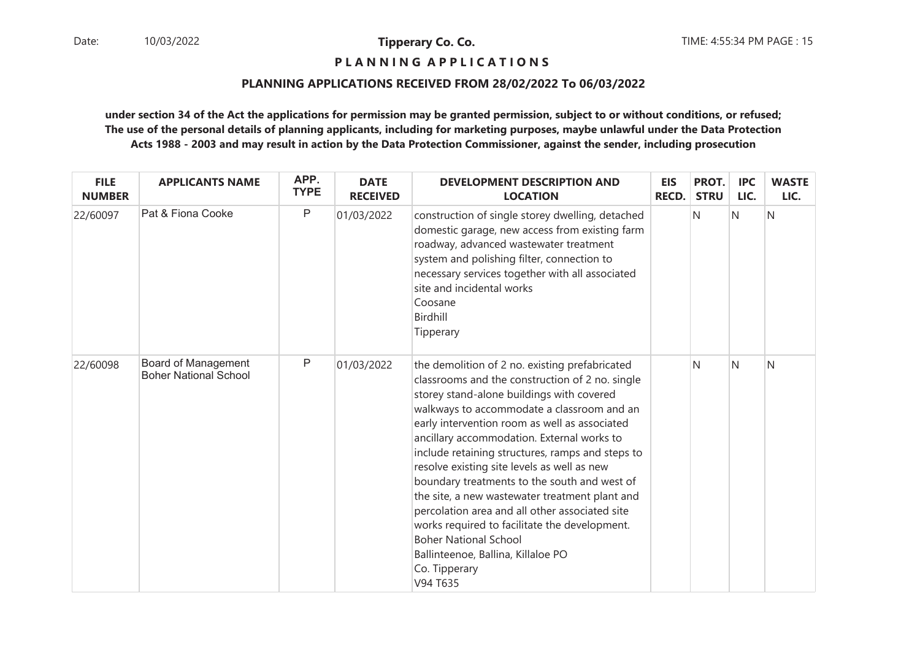## **P L A N N I N G A P P L I C A T I O N S**

#### **PLANNING APPLICATIONS RECEIVED FROM 28/02/2022 To 06/03/2022**

| <b>FILE</b><br><b>NUMBER</b> | <b>APPLICANTS NAME</b>                              | APP.<br><b>TYPE</b> | <b>DATE</b><br><b>RECEIVED</b> | <b>DEVELOPMENT DESCRIPTION AND</b><br><b>LOCATION</b>                                                                                                                                                                                                                                                                                                                                                                                                                                                                                                                                                                                                                                                  | <b>EIS</b><br><b>RECD.</b> | PROT.<br><b>STRU</b> | <b>IPC</b><br>LIC. | <b>WASTE</b><br>LIC. |
|------------------------------|-----------------------------------------------------|---------------------|--------------------------------|--------------------------------------------------------------------------------------------------------------------------------------------------------------------------------------------------------------------------------------------------------------------------------------------------------------------------------------------------------------------------------------------------------------------------------------------------------------------------------------------------------------------------------------------------------------------------------------------------------------------------------------------------------------------------------------------------------|----------------------------|----------------------|--------------------|----------------------|
| 22/60097                     | Pat & Fiona Cooke                                   | $\mathsf{P}$        | 01/03/2022                     | construction of single storey dwelling, detached<br>domestic garage, new access from existing farm<br>roadway, advanced wastewater treatment<br>system and polishing filter, connection to<br>necessary services together with all associated<br>site and incidental works<br>Coosane<br>Birdhill<br>Tipperary                                                                                                                                                                                                                                                                                                                                                                                         |                            | N                    | N                  | N                    |
| 22/60098                     | Board of Management<br><b>Boher National School</b> | $\mathsf{P}$        | 01/03/2022                     | the demolition of 2 no. existing prefabricated<br>classrooms and the construction of 2 no. single<br>storey stand-alone buildings with covered<br>walkways to accommodate a classroom and an<br>early intervention room as well as associated<br>ancillary accommodation. External works to<br>include retaining structures, ramps and steps to<br>resolve existing site levels as well as new<br>boundary treatments to the south and west of<br>the site, a new wastewater treatment plant and<br>percolation area and all other associated site<br>works required to facilitate the development.<br><b>Boher National School</b><br>Ballinteenoe, Ballina, Killaloe PO<br>Co. Tipperary<br>V94 T635 |                            | N                    | N                  | N                    |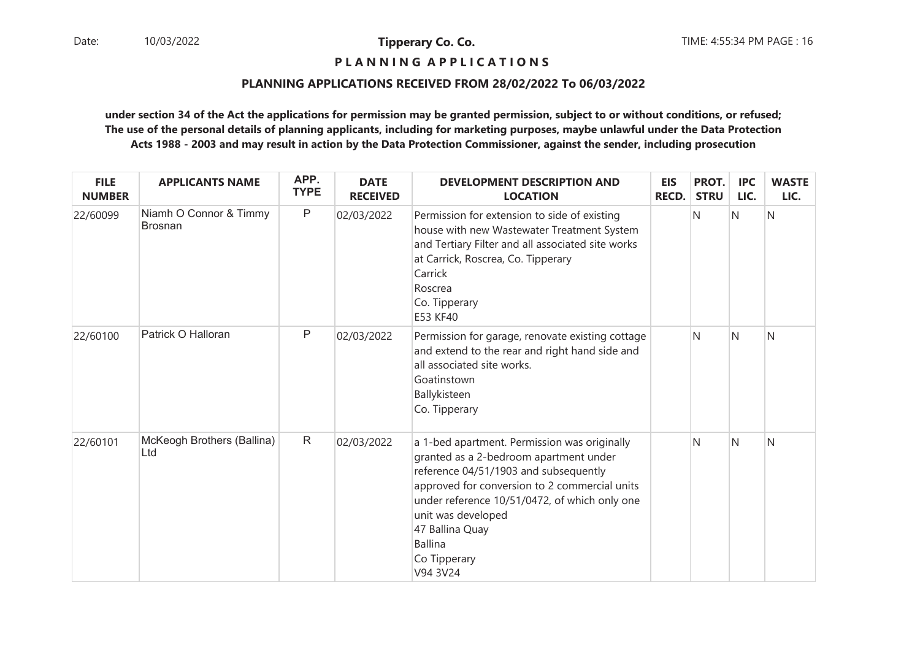## **P L A N N I N G A P P L I C A T I O N S**

#### **PLANNING APPLICATIONS RECEIVED FROM 28/02/2022 To 06/03/2022**

| <b>FILE</b><br><b>NUMBER</b> | <b>APPLICANTS NAME</b>                   | APP.<br><b>TYPE</b> | <b>DATE</b><br><b>RECEIVED</b> | <b>DEVELOPMENT DESCRIPTION AND</b><br><b>LOCATION</b>                                                                                                                                                                                                                                                                    | <b>EIS</b><br><b>RECD.</b> | PROT.<br><b>STRU</b> | <b>IPC</b><br>LIC. | <b>WASTE</b><br>LIC. |
|------------------------------|------------------------------------------|---------------------|--------------------------------|--------------------------------------------------------------------------------------------------------------------------------------------------------------------------------------------------------------------------------------------------------------------------------------------------------------------------|----------------------------|----------------------|--------------------|----------------------|
| 22/60099                     | Niamh O Connor & Timmy<br><b>Brosnan</b> | $\mathsf{P}$        | 02/03/2022                     | Permission for extension to side of existing<br>house with new Wastewater Treatment System<br>and Tertiary Filter and all associated site works<br>at Carrick, Roscrea, Co. Tipperary<br>Carrick<br>Roscrea<br>Co. Tipperary<br>E53 KF40                                                                                 |                            | N                    | N                  | N                    |
| 22/60100                     | Patrick O Halloran                       | $\mathsf{P}$        | 02/03/2022                     | Permission for garage, renovate existing cottage<br>and extend to the rear and right hand side and<br>all associated site works.<br>Goatinstown<br>Ballykisteen<br>Co. Tipperary                                                                                                                                         |                            | N                    | N                  | N                    |
| 22/60101                     | McKeogh Brothers (Ballina)<br>Ltd        | $\mathsf{R}$        | 02/03/2022                     | a 1-bed apartment. Permission was originally<br>granted as a 2-bedroom apartment under<br>reference 04/51/1903 and subsequently<br>approved for conversion to 2 commercial units<br>under reference 10/51/0472, of which only one<br>unit was developed<br>47 Ballina Quay<br><b>Ballina</b><br>Co Tipperary<br>V94 3V24 |                            | N                    | N                  | N                    |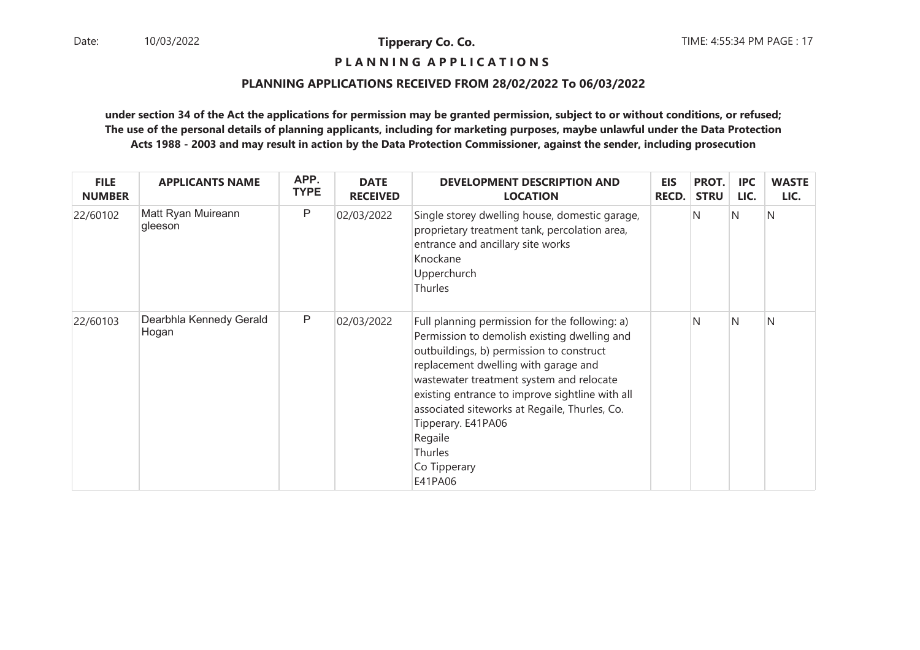## **P L A N N I N G A P P L I C A T I O N S**

#### **PLANNING APPLICATIONS RECEIVED FROM 28/02/2022 To 06/03/2022**

| <b>FILE</b><br><b>NUMBER</b> | <b>APPLICANTS NAME</b>           | APP.<br><b>TYPE</b> | <b>DATE</b><br><b>RECEIVED</b> | <b>DEVELOPMENT DESCRIPTION AND</b><br><b>LOCATION</b>                                                                                                                                                                                                                                                                                                                                                     | <b>EIS</b><br><b>RECD.</b> | PROT.<br><b>STRU</b> | <b>IPC</b><br>LIC. | <b>WASTE</b><br>LIC. |
|------------------------------|----------------------------------|---------------------|--------------------------------|-----------------------------------------------------------------------------------------------------------------------------------------------------------------------------------------------------------------------------------------------------------------------------------------------------------------------------------------------------------------------------------------------------------|----------------------------|----------------------|--------------------|----------------------|
| 22/60102                     | Matt Ryan Muireann<br>gleeson    | P                   | 02/03/2022                     | Single storey dwelling house, domestic garage,<br>proprietary treatment tank, percolation area,<br>entrance and ancillary site works<br>Knockane<br>Upperchurch<br><b>Thurles</b>                                                                                                                                                                                                                         |                            | N                    | IN.                | N                    |
| 22/60103                     | Dearbhla Kennedy Gerald<br>Hogan | P                   | 02/03/2022                     | Full planning permission for the following: a)<br>Permission to demolish existing dwelling and<br>outbuildings, b) permission to construct<br>replacement dwelling with garage and<br>wastewater treatment system and relocate<br>existing entrance to improve sightline with all<br>associated siteworks at Regaile, Thurles, Co.<br>Tipperary. E41PA06<br>Regaile<br>Thurles<br>Co Tipperary<br>E41PA06 |                            | N                    | N                  | N                    |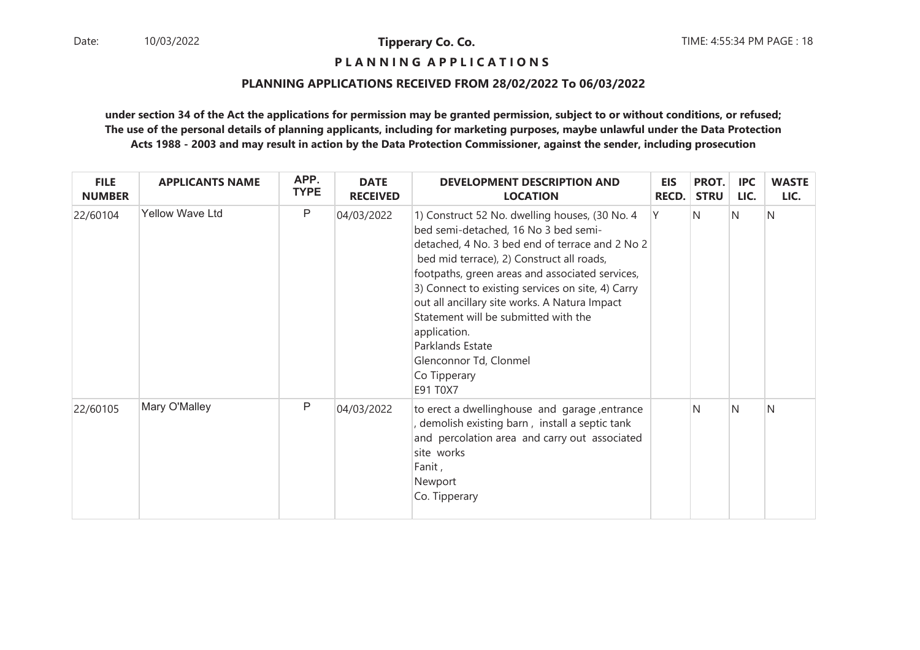## **P L A N N I N G A P P L I C A T I O N S**

#### **PLANNING APPLICATIONS RECEIVED FROM 28/02/2022 To 06/03/2022**

| <b>FILE</b><br><b>NUMBER</b> | <b>APPLICANTS NAME</b> | APP.<br><b>TYPE</b> | <b>DATE</b><br><b>RECEIVED</b> | <b>DEVELOPMENT DESCRIPTION AND</b><br><b>LOCATION</b>                                                                                                                                                                                                                                                                                                                                                                                                                             | <b>EIS</b><br><b>RECD.</b> | PROT.<br><b>STRU</b> | <b>IPC</b><br>LIC. | <b>WASTE</b><br>LIC. |
|------------------------------|------------------------|---------------------|--------------------------------|-----------------------------------------------------------------------------------------------------------------------------------------------------------------------------------------------------------------------------------------------------------------------------------------------------------------------------------------------------------------------------------------------------------------------------------------------------------------------------------|----------------------------|----------------------|--------------------|----------------------|
| 22/60104                     | <b>Yellow Wave Ltd</b> | $\mathsf{P}$        | 04/03/2022                     | 1) Construct 52 No. dwelling houses, (30 No. 4<br>bed semi-detached, 16 No 3 bed semi-<br>detached, 4 No. 3 bed end of terrace and 2 No 2<br>bed mid terrace), 2) Construct all roads,<br>footpaths, green areas and associated services,<br>3) Connect to existing services on site, 4) Carry<br>out all ancillary site works. A Natura Impact<br>Statement will be submitted with the<br>application.<br>Parklands Estate<br>Glenconnor Td, Clonmel<br>Co Tipperary<br>E91 T0X7 | Y                          | N                    | N                  | N                    |
| 22/60105                     | Mary O'Malley          | P                   | 04/03/2022                     | to erect a dwellinghouse and garage, entrance<br>demolish existing barn, install a septic tank<br>and percolation area and carry out associated<br>site works<br>Fanit,<br>Newport<br>Co. Tipperary                                                                                                                                                                                                                                                                               |                            | N                    | N                  | N                    |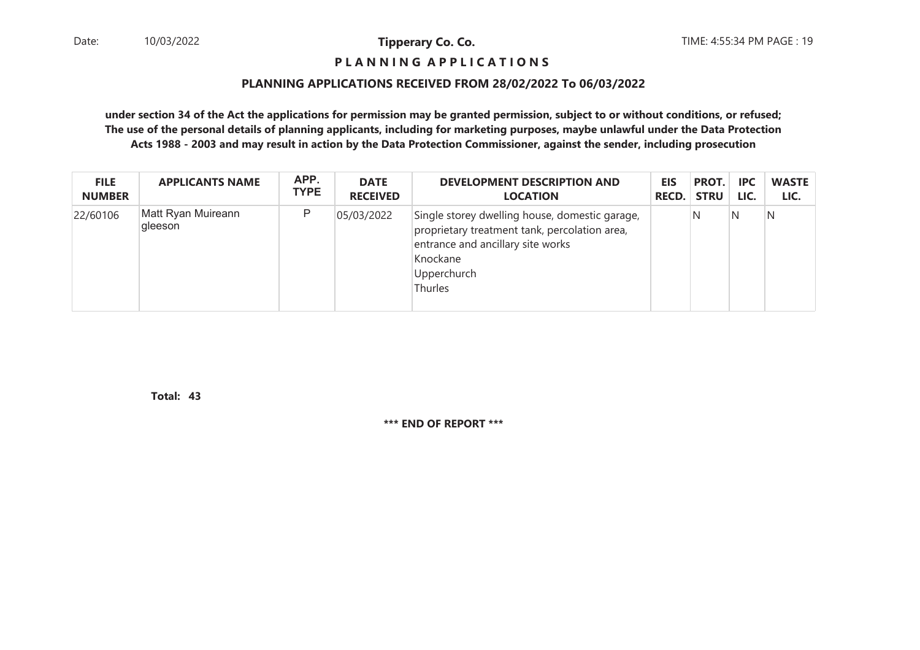### **P L A N N I N G A P P L I C A T I O N S**

#### **PLANNING APPLICATIONS RECEIVED FROM 28/02/2022 To 06/03/2022**

**under section 34 of the Act the applications for permission may be granted permission, subject to or without conditions, or refused; The use of the personal details of planning applicants, including for marketing purposes, maybe unlawful under the Data ProtectionActs 1988 - 2003 and may result in action by the Data Protection Commissioner, against the sender, including prosecution**

| <b>FILE</b>   | <b>APPLICANTS NAME</b>        | APP.        | <b>DATE</b>     | <b>DEVELOPMENT DESCRIPTION AND</b>                                                                                                                                         | <b>EIS</b>   | PROT.       | <b>IPC</b> | <b>WASTE</b> |
|---------------|-------------------------------|-------------|-----------------|----------------------------------------------------------------------------------------------------------------------------------------------------------------------------|--------------|-------------|------------|--------------|
| <b>NUMBER</b> |                               | <b>TYPE</b> | <b>RECEIVED</b> | <b>LOCATION</b>                                                                                                                                                            | <b>RECD.</b> | <b>STRU</b> | LIC.       | LIC.         |
| 22/60106      | Matt Ryan Muireann<br>gleeson | P           | 05/03/2022      | Single storey dwelling house, domestic garage,<br>proprietary treatment tank, percolation area,<br>entrance and ancillary site works<br>Knockane<br>Upperchurch<br>Thurles |              | N           | N          | N            |

**43Total:**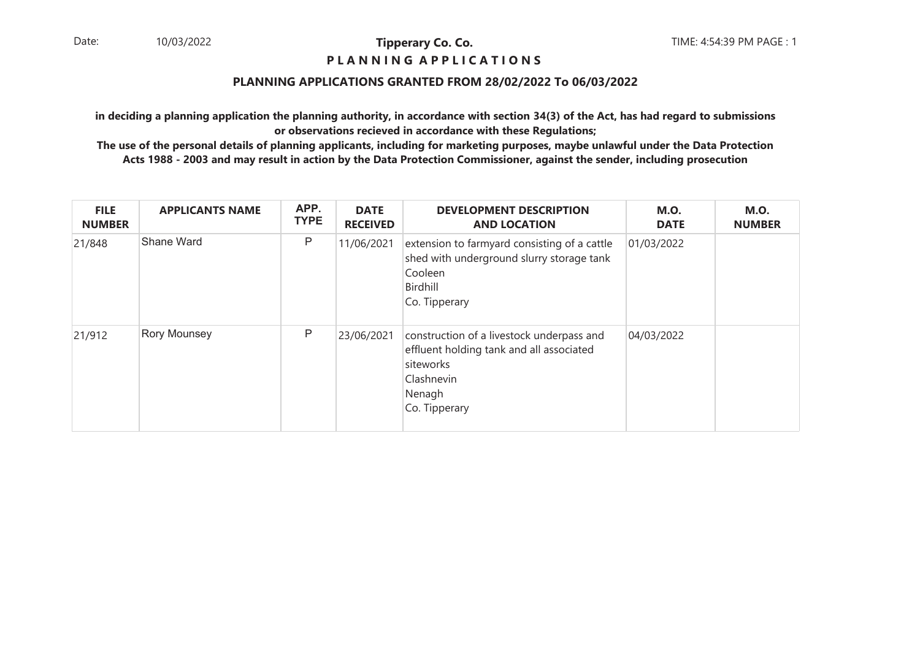### **P L A N N I N G A P P L I C A T I O N S**

### **PLANNING APPLICATIONS GRANTED FROM 28/02/2022 To 06/03/2022**

**in deciding a planning application the planning authority, in accordance with section 34(3) of the Act, has had regard to submissionsor observations recieved in accordance with these Regulations;**

| <b>FILE</b><br><b>NUMBER</b> | <b>APPLICANTS NAME</b> | APP.<br><b>TYPE</b> | <b>DATE</b><br><b>RECEIVED</b> | <b>DEVELOPMENT DESCRIPTION</b><br><b>AND LOCATION</b>                                                                                       | <b>M.O.</b><br><b>DATE</b> | <b>M.O.</b><br><b>NUMBER</b> |
|------------------------------|------------------------|---------------------|--------------------------------|---------------------------------------------------------------------------------------------------------------------------------------------|----------------------------|------------------------------|
| 21/848                       | Shane Ward             | P                   | 11/06/2021                     | extension to farmyard consisting of a cattle<br>shed with underground slurry storage tank<br>Cooleen<br>Birdhill<br>Co. Tipperary           | 01/03/2022                 |                              |
| 21/912                       | <b>Rory Mounsey</b>    | P                   | 23/06/2021                     | construction of a livestock underpass and<br>effluent holding tank and all associated<br>siteworks<br>Clashnevin<br>Nenagh<br>Co. Tipperary | 04/03/2022                 |                              |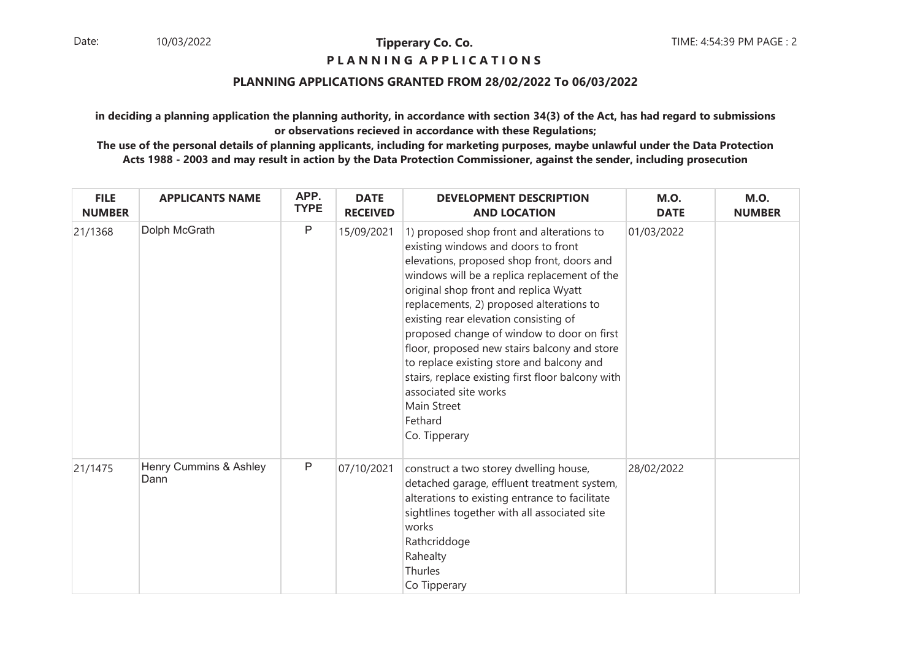### **P L A N N I N G A P P L I C A T I O N S**

#### **PLANNING APPLICATIONS GRANTED FROM 28/02/2022 To 06/03/2022**

**in deciding a planning application the planning authority, in accordance with section 34(3) of the Act, has had regard to submissionsor observations recieved in accordance with these Regulations;**

| <b>FILE</b><br><b>NUMBER</b> | <b>APPLICANTS NAME</b>         | APP.<br><b>TYPE</b> | <b>DATE</b><br><b>RECEIVED</b> | <b>DEVELOPMENT DESCRIPTION</b><br><b>AND LOCATION</b>                                                                                                                                                                                                                                                                                                                                                                                                                                                                                                                            | <b>M.O.</b><br><b>DATE</b> | <b>M.O.</b><br><b>NUMBER</b> |
|------------------------------|--------------------------------|---------------------|--------------------------------|----------------------------------------------------------------------------------------------------------------------------------------------------------------------------------------------------------------------------------------------------------------------------------------------------------------------------------------------------------------------------------------------------------------------------------------------------------------------------------------------------------------------------------------------------------------------------------|----------------------------|------------------------------|
| 21/1368                      | Dolph McGrath                  | P                   | 15/09/2021                     | 1) proposed shop front and alterations to<br>existing windows and doors to front<br>elevations, proposed shop front, doors and<br>windows will be a replica replacement of the<br>original shop front and replica Wyatt<br>replacements, 2) proposed alterations to<br>existing rear elevation consisting of<br>proposed change of window to door on first<br>floor, proposed new stairs balcony and store<br>to replace existing store and balcony and<br>stairs, replace existing first floor balcony with<br>associated site works<br>Main Street<br>Fethard<br>Co. Tipperary | 01/03/2022                 |                              |
| 21/1475                      | Henry Cummins & Ashley<br>Dann | $\mathsf{P}$        | 07/10/2021                     | construct a two storey dwelling house,<br>detached garage, effluent treatment system,<br>alterations to existing entrance to facilitate<br>sightlines together with all associated site<br>works<br>Rathcriddoge<br>Rahealty<br>Thurles<br>Co Tipperary                                                                                                                                                                                                                                                                                                                          | 28/02/2022                 |                              |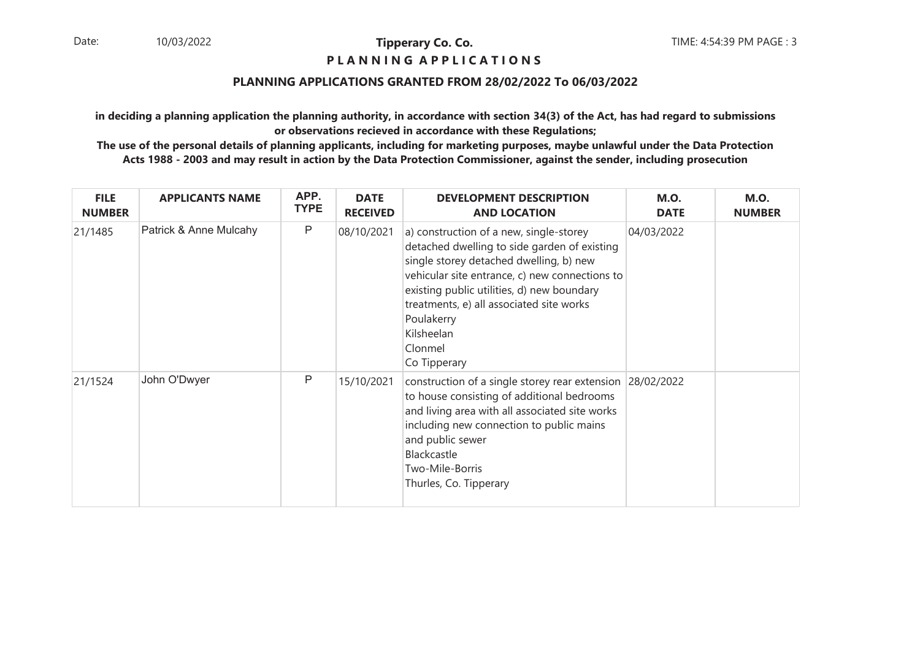### **P L A N N I N G A P P L I C A T I O N S**

#### **PLANNING APPLICATIONS GRANTED FROM 28/02/2022 To 06/03/2022**

**in deciding a planning application the planning authority, in accordance with section 34(3) of the Act, has had regard to submissionsor observations recieved in accordance with these Regulations;**

| <b>FILE</b><br><b>NUMBER</b> | <b>APPLICANTS NAME</b> | APP.<br><b>TYPE</b> | <b>DATE</b><br><b>RECEIVED</b> | <b>DEVELOPMENT DESCRIPTION</b><br><b>AND LOCATION</b>                                                                                                                                                                                                                                                                                 | <b>M.O.</b><br><b>DATE</b> | <b>M.O.</b><br><b>NUMBER</b> |
|------------------------------|------------------------|---------------------|--------------------------------|---------------------------------------------------------------------------------------------------------------------------------------------------------------------------------------------------------------------------------------------------------------------------------------------------------------------------------------|----------------------------|------------------------------|
| 21/1485                      | Patrick & Anne Mulcahy | $\mathsf{P}$        | 08/10/2021                     | a) construction of a new, single-storey<br>detached dwelling to side garden of existing<br>single storey detached dwelling, b) new<br>vehicular site entrance, c) new connections to<br>existing public utilities, d) new boundary<br>treatments, e) all associated site works<br>Poulakerry<br>Kilsheelan<br>Clonmel<br>Co Tipperary | 04/03/2022                 |                              |
| 21/1524                      | John O'Dwyer           | P                   | 15/10/2021                     | construction of a single storey rear extension 28/02/2022<br>to house consisting of additional bedrooms<br>and living area with all associated site works<br>including new connection to public mains<br>and public sewer<br>Blackcastle<br>Two-Mile-Borris<br>Thurles, Co. Tipperary                                                 |                            |                              |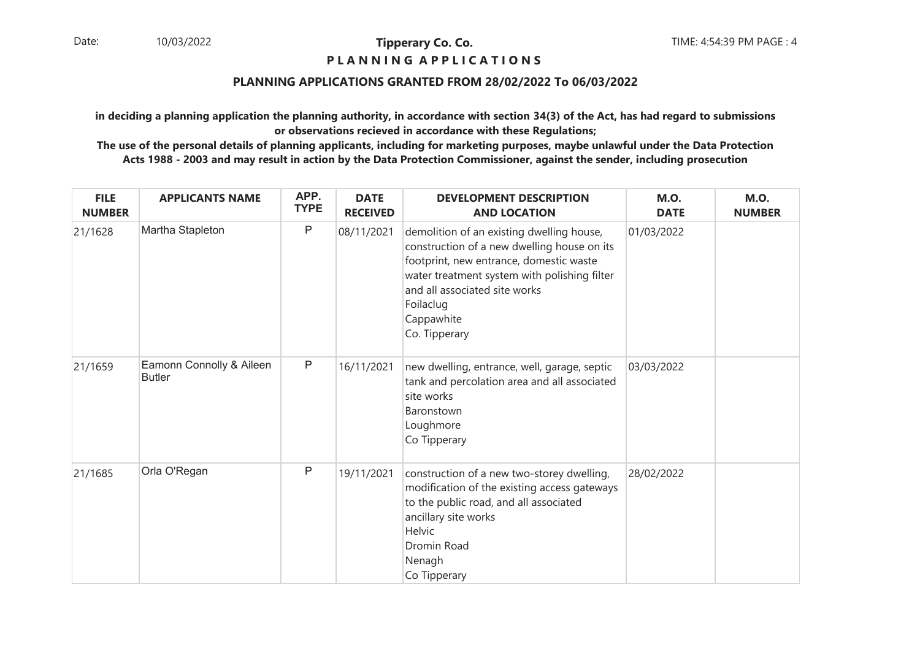### **P L A N N I N G A P P L I C A T I O N S**

### **PLANNING APPLICATIONS GRANTED FROM 28/02/2022 To 06/03/2022**

**in deciding a planning application the planning authority, in accordance with section 34(3) of the Act, has had regard to submissionsor observations recieved in accordance with these Regulations;**

| <b>FILE</b><br><b>NUMBER</b> | <b>APPLICANTS NAME</b>                    | APP.<br><b>TYPE</b> | <b>DATE</b><br><b>RECEIVED</b> | <b>DEVELOPMENT DESCRIPTION</b><br><b>AND LOCATION</b>                                                                                                                                                                                                            | <b>M.O.</b><br><b>DATE</b> | <b>M.O.</b><br><b>NUMBER</b> |
|------------------------------|-------------------------------------------|---------------------|--------------------------------|------------------------------------------------------------------------------------------------------------------------------------------------------------------------------------------------------------------------------------------------------------------|----------------------------|------------------------------|
| 21/1628                      | Martha Stapleton                          | $\mathsf{P}$        | 08/11/2021                     | demolition of an existing dwelling house,<br>construction of a new dwelling house on its<br>footprint, new entrance, domestic waste<br>water treatment system with polishing filter<br>and all associated site works<br>Foilaclug<br>Cappawhite<br>Co. Tipperary | 01/03/2022                 |                              |
| 21/1659                      | Eamonn Connolly & Aileen<br><b>Butler</b> | $\mathsf{P}$        | 16/11/2021                     | new dwelling, entrance, well, garage, septic<br>tank and percolation area and all associated<br>site works<br>Baronstown<br>Loughmore<br>Co Tipperary                                                                                                            | 03/03/2022                 |                              |
| 21/1685                      | Orla O'Regan                              | P                   | 19/11/2021                     | construction of a new two-storey dwelling,<br>modification of the existing access gateways<br>to the public road, and all associated<br>ancillary site works<br>Helvic<br>Dromin Road<br>Nenagh<br>Co Tipperary                                                  | 28/02/2022                 |                              |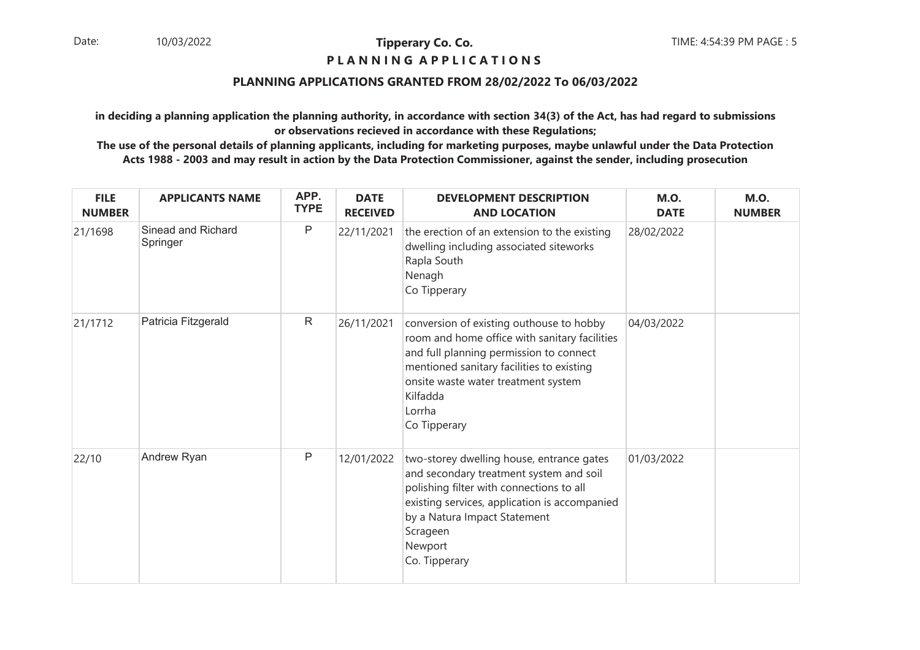### **P L A N N I N G A P P L I C A T I O N S**

#### **PLANNING APPLICATIONS GRANTED FROM 28/02/2022 To 06/03/2022**

**in deciding a planning application the planning authority, in accordance with section 34(3) of the Act, has had regard to submissionsor observations recieved in accordance with these Regulations;**

| <b>FILE</b><br><b>NUMBER</b> | <b>APPLICANTS NAME</b>         | APP.<br><b>TYPE</b> | <b>DATE</b><br><b>RECEIVED</b> | <b>DEVELOPMENT DESCRIPTION</b><br><b>AND LOCATION</b>                                                                                                                                                                                                          | <b>M.O.</b><br><b>DATE</b> | <b>M.O.</b><br><b>NUMBER</b> |
|------------------------------|--------------------------------|---------------------|--------------------------------|----------------------------------------------------------------------------------------------------------------------------------------------------------------------------------------------------------------------------------------------------------------|----------------------------|------------------------------|
| 21/1698                      | Sinead and Richard<br>Springer | P                   | 22/11/2021                     | the erection of an extension to the existing<br>dwelling including associated siteworks<br>Rapla South<br>Nenagh<br>Co Tipperary                                                                                                                               | 28/02/2022                 |                              |
| 21/1712                      | Patricia Fitzgerald            | $\mathsf{R}$        | 26/11/2021                     | conversion of existing outhouse to hobby<br>room and home office with sanitary facilities<br>and full planning permission to connect<br>mentioned sanitary facilities to existing<br>onsite waste water treatment system<br>Kilfadda<br>Lorrha<br>Co Tipperary | 04/03/2022                 |                              |
| 22/10                        | Andrew Ryan                    | $\mathsf{P}$        | 12/01/2022                     | two-storey dwelling house, entrance gates<br>and secondary treatment system and soil<br>polishing filter with connections to all<br>existing services, application is accompanied<br>by a Natura Impact Statement<br>Scrageen<br>Newport<br>Co. Tipperary      | 01/03/2022                 |                              |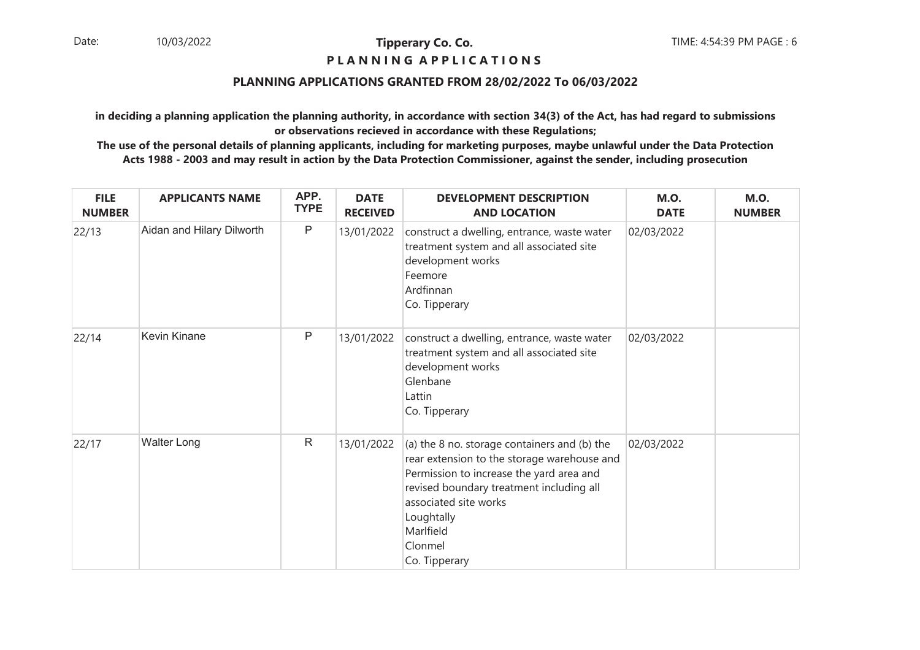### **P L A N N I N G A P P L I C A T I O N S**

### **PLANNING APPLICATIONS GRANTED FROM 28/02/2022 To 06/03/2022**

**in deciding a planning application the planning authority, in accordance with section 34(3) of the Act, has had regard to submissionsor observations recieved in accordance with these Regulations;**

| <b>FILE</b><br><b>NUMBER</b> | <b>APPLICANTS NAME</b>    | APP.<br><b>TYPE</b> | <b>DATE</b><br><b>RECEIVED</b> | <b>DEVELOPMENT DESCRIPTION</b><br><b>AND LOCATION</b>                                                                                                                                                                                                               | <b>M.O.</b><br><b>DATE</b> | <b>M.O.</b><br><b>NUMBER</b> |
|------------------------------|---------------------------|---------------------|--------------------------------|---------------------------------------------------------------------------------------------------------------------------------------------------------------------------------------------------------------------------------------------------------------------|----------------------------|------------------------------|
| 22/13                        | Aidan and Hilary Dilworth | $\mathsf{P}$        | 13/01/2022                     | construct a dwelling, entrance, waste water<br>treatment system and all associated site<br>development works<br>Feemore<br>Ardfinnan<br>Co. Tipperary                                                                                                               | 02/03/2022                 |                              |
| 22/14                        | <b>Kevin Kinane</b>       | $\mathsf{P}$        | 13/01/2022                     | construct a dwelling, entrance, waste water<br>treatment system and all associated site<br>development works<br>Glenbane<br>Lattin<br>Co. Tipperary                                                                                                                 | 02/03/2022                 |                              |
| 22/17                        | <b>Walter Long</b>        | $\mathsf{R}$        | 13/01/2022                     | (a) the 8 no. storage containers and (b) the<br>rear extension to the storage warehouse and<br>Permission to increase the yard area and<br>revised boundary treatment including all<br>associated site works<br>Loughtally<br>Marlfield<br>Clonmel<br>Co. Tipperary | 02/03/2022                 |                              |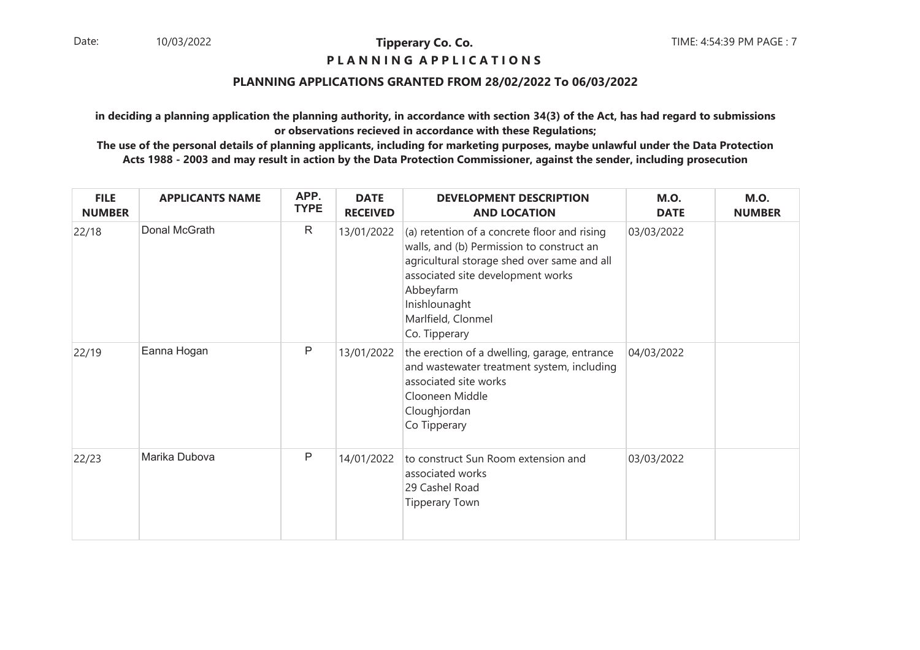### **P L A N N I N G A P P L I C A T I O N S**

#### **PLANNING APPLICATIONS GRANTED FROM 28/02/2022 To 06/03/2022**

**in deciding a planning application the planning authority, in accordance with section 34(3) of the Act, has had regard to submissionsor observations recieved in accordance with these Regulations;**

| <b>FILE</b><br><b>NUMBER</b> | <b>APPLICANTS NAME</b> | APP.<br><b>TYPE</b> | <b>DATE</b><br><b>RECEIVED</b> | <b>DEVELOPMENT DESCRIPTION</b><br><b>AND LOCATION</b>                                                                                                                                                                                              | <b>M.O.</b><br><b>DATE</b> | <b>M.O.</b><br><b>NUMBER</b> |
|------------------------------|------------------------|---------------------|--------------------------------|----------------------------------------------------------------------------------------------------------------------------------------------------------------------------------------------------------------------------------------------------|----------------------------|------------------------------|
| 22/18                        | Donal McGrath          | $\mathsf{R}$        | 13/01/2022                     | (a) retention of a concrete floor and rising<br>walls, and (b) Permission to construct an<br>agricultural storage shed over same and all<br>associated site development works<br>Abbeyfarm<br>Inishlounaght<br>Marlfield, Clonmel<br>Co. Tipperary | 03/03/2022                 |                              |
| 22/19                        | Eanna Hogan            | $\mathsf{P}$        | 13/01/2022                     | the erection of a dwelling, garage, entrance<br>and wastewater treatment system, including<br>associated site works<br>Clooneen Middle<br>Cloughjordan<br>Co Tipperary                                                                             | 04/03/2022                 |                              |
| 22/23                        | Marika Dubova          | Ρ                   | 14/01/2022                     | to construct Sun Room extension and<br>associated works<br>29 Cashel Road<br><b>Tipperary Town</b>                                                                                                                                                 | 03/03/2022                 |                              |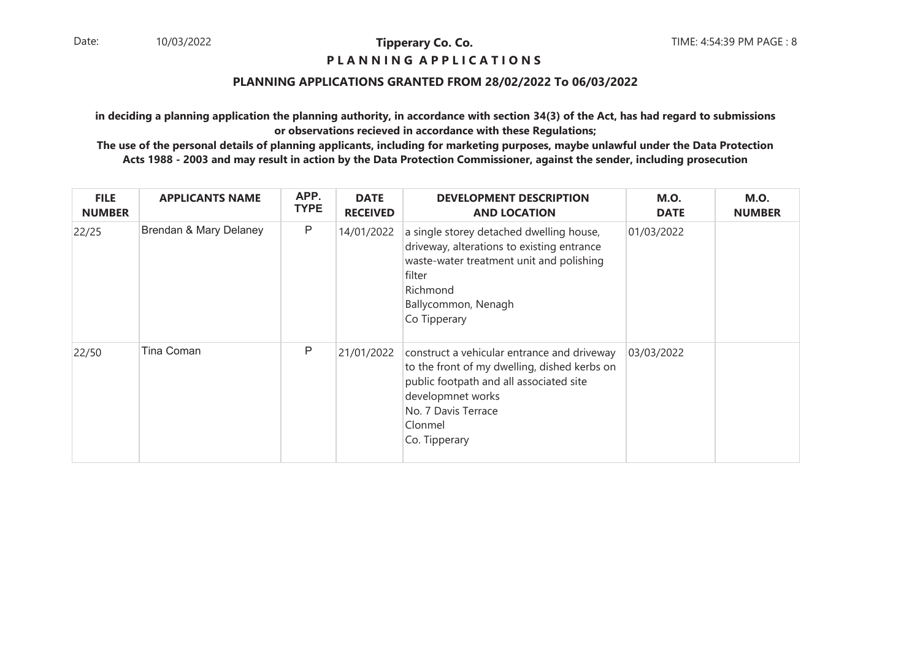#### **P L A N N I N G A P P L I C A T I O N S**

### **PLANNING APPLICATIONS GRANTED FROM 28/02/2022 To 06/03/2022**

**in deciding a planning application the planning authority, in accordance with section 34(3) of the Act, has had regard to submissionsor observations recieved in accordance with these Regulations;**

| <b>FILE</b><br><b>NUMBER</b> | <b>APPLICANTS NAME</b> | APP.<br><b>TYPE</b> | <b>DATE</b><br><b>RECEIVED</b> | <b>DEVELOPMENT DESCRIPTION</b><br><b>AND LOCATION</b>                                                                                                                                                          | <b>M.O.</b><br><b>DATE</b> | <b>M.O.</b><br><b>NUMBER</b> |
|------------------------------|------------------------|---------------------|--------------------------------|----------------------------------------------------------------------------------------------------------------------------------------------------------------------------------------------------------------|----------------------------|------------------------------|
| 22/25                        | Brendan & Mary Delaney | P                   | 14/01/2022                     | a single storey detached dwelling house,<br>driveway, alterations to existing entrance<br>waste-water treatment unit and polishing<br>filter<br>Richmond<br>Ballycommon, Nenagh<br>Co Tipperary                | 01/03/2022                 |                              |
| 22/50                        | Tina Coman             | P                   | 21/01/2022                     | construct a vehicular entrance and driveway<br>to the front of my dwelling, dished kerbs on<br>public footpath and all associated site<br>developmnet works<br>No. 7 Davis Terrace<br>Clonmel<br>Co. Tipperary | 03/03/2022                 |                              |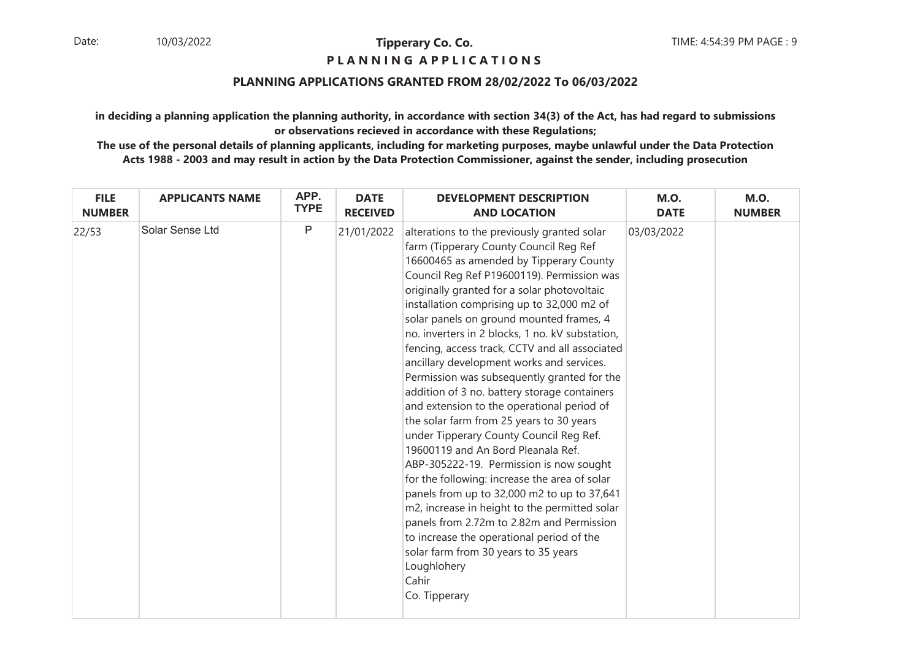### **P L A N N I N G A P P L I C A T I O N S**

#### **PLANNING APPLICATIONS GRANTED FROM 28/02/2022 To 06/03/2022**

**in deciding a planning application the planning authority, in accordance with section 34(3) of the Act, has had regard to submissionsor observations recieved in accordance with these Regulations;**

| <b>FILE</b>   | <b>APPLICANTS NAME</b> | APP.        | <b>DATE</b>     | <b>DEVELOPMENT DESCRIPTION</b>                                                                                                                                                                                                                                                                                                                                                                                                                                                                                                                                                                                                                                                                                                                                                                                                                                                                                                                                                                                                                                                                                             | <b>M.O.</b> | <b>M.O.</b>   |
|---------------|------------------------|-------------|-----------------|----------------------------------------------------------------------------------------------------------------------------------------------------------------------------------------------------------------------------------------------------------------------------------------------------------------------------------------------------------------------------------------------------------------------------------------------------------------------------------------------------------------------------------------------------------------------------------------------------------------------------------------------------------------------------------------------------------------------------------------------------------------------------------------------------------------------------------------------------------------------------------------------------------------------------------------------------------------------------------------------------------------------------------------------------------------------------------------------------------------------------|-------------|---------------|
| <b>NUMBER</b> |                        | <b>TYPE</b> | <b>RECEIVED</b> | <b>AND LOCATION</b>                                                                                                                                                                                                                                                                                                                                                                                                                                                                                                                                                                                                                                                                                                                                                                                                                                                                                                                                                                                                                                                                                                        | <b>DATE</b> | <b>NUMBER</b> |
| 22/53         | Solar Sense Ltd        | $\mathsf P$ | 21/01/2022      | alterations to the previously granted solar<br>farm (Tipperary County Council Reg Ref<br>16600465 as amended by Tipperary County<br>Council Reg Ref P19600119). Permission was<br>originally granted for a solar photovoltaic<br>installation comprising up to 32,000 m2 of<br>solar panels on ground mounted frames, 4<br>no. inverters in 2 blocks, 1 no. kV substation,<br>fencing, access track, CCTV and all associated<br>ancillary development works and services.<br>Permission was subsequently granted for the<br>addition of 3 no. battery storage containers<br>and extension to the operational period of<br>the solar farm from 25 years to 30 years<br>under Tipperary County Council Reg Ref.<br>19600119 and An Bord Pleanala Ref.<br>ABP-305222-19. Permission is now sought<br>for the following: increase the area of solar<br>panels from up to 32,000 m2 to up to 37,641<br>m2, increase in height to the permitted solar<br>panels from 2.72m to 2.82m and Permission<br>to increase the operational period of the<br>solar farm from 30 years to 35 years<br>Loughlohery<br>Cahir<br>Co. Tipperary | 03/03/2022  |               |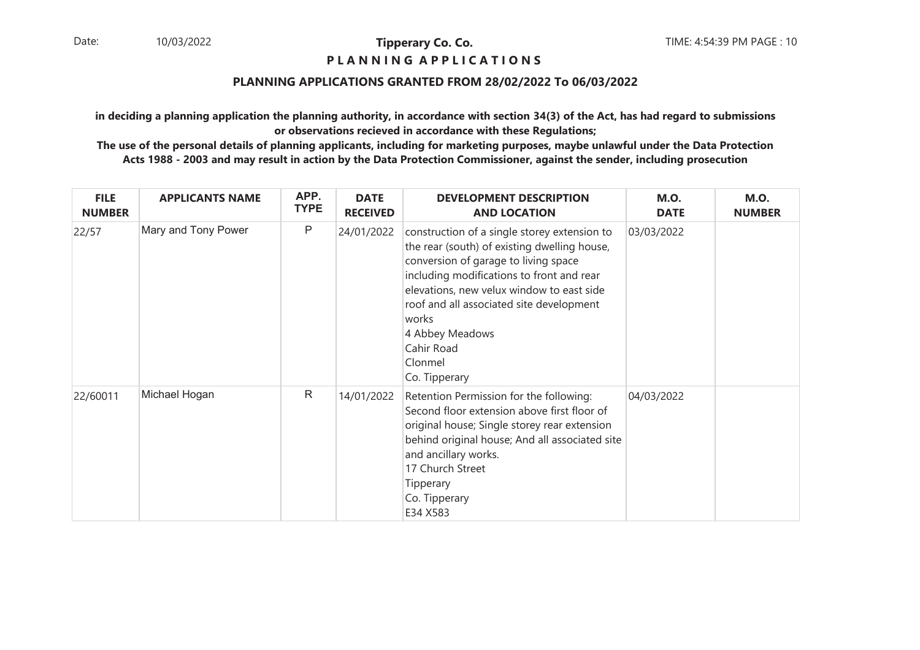#### **P L A N N I N G A P P L I C A T I O N S**

### **PLANNING APPLICATIONS GRANTED FROM 28/02/2022 To 06/03/2022**

**in deciding a planning application the planning authority, in accordance with section 34(3) of the Act, has had regard to submissionsor observations recieved in accordance with these Regulations;**

| <b>FILE</b><br><b>NUMBER</b> | <b>APPLICANTS NAME</b> | APP.<br><b>TYPE</b> | <b>DATE</b><br><b>RECEIVED</b> | <b>DEVELOPMENT DESCRIPTION</b><br><b>AND LOCATION</b>                                                                                                                                                                                                                                                                                            | <b>M.O.</b><br><b>DATE</b> | <b>M.O.</b><br><b>NUMBER</b> |
|------------------------------|------------------------|---------------------|--------------------------------|--------------------------------------------------------------------------------------------------------------------------------------------------------------------------------------------------------------------------------------------------------------------------------------------------------------------------------------------------|----------------------------|------------------------------|
| 22/57                        | Mary and Tony Power    | P                   | 24/01/2022                     | construction of a single storey extension to<br>the rear (south) of existing dwelling house,<br>conversion of garage to living space<br>including modifications to front and rear<br>elevations, new velux window to east side<br>roof and all associated site development<br>works<br>4 Abbey Meadows<br>Cahir Road<br>Clonmel<br>Co. Tipperary | 03/03/2022                 |                              |
| 22/60011                     | Michael Hogan          | $\mathsf{R}$        | 14/01/2022                     | Retention Permission for the following:<br>Second floor extension above first floor of<br>original house; Single storey rear extension<br>behind original house; And all associated site<br>and ancillary works.<br>17 Church Street<br>Tipperary<br>Co. Tipperary<br>E34 X583                                                                   | 04/03/2022                 |                              |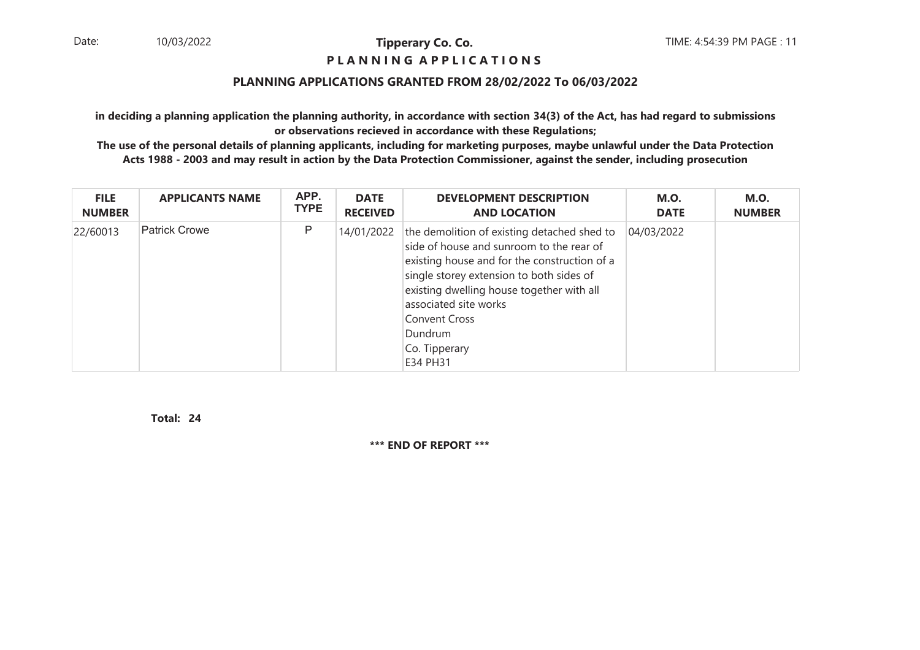### **P L A N N I N G A P P L I C A T I O N S**

### **PLANNING APPLICATIONS GRANTED FROM 28/02/2022 To 06/03/2022**

**in deciding a planning application the planning authority, in accordance with section 34(3) of the Act, has had regard to submissionsor observations recieved in accordance with these Regulations;**

 **The use of the personal details of planning applicants, including for marketing purposes, maybe unlawful under the Data ProtectionActs 1988 - 2003 and may result in action by the Data Protection Commissioner, against the sender, including prosecution**

| <b>FILE</b>   | <b>APPLICANTS NAME</b> | APP.        | <b>DATE</b>     | <b>DEVELOPMENT DESCRIPTION</b>                                                                                                                                                                                                                                                                                            | <b>M.O.</b> | <b>M.O.</b>   |
|---------------|------------------------|-------------|-----------------|---------------------------------------------------------------------------------------------------------------------------------------------------------------------------------------------------------------------------------------------------------------------------------------------------------------------------|-------------|---------------|
| <b>NUMBER</b> |                        | <b>TYPE</b> | <b>RECEIVED</b> | <b>AND LOCATION</b>                                                                                                                                                                                                                                                                                                       | <b>DATE</b> | <b>NUMBER</b> |
| 22/60013      | Patrick Crowe          | P           | 14/01/2022      | the demolition of existing detached shed to<br>side of house and sunroom to the rear of<br>existing house and for the construction of a<br>single storey extension to both sides of<br>existing dwelling house together with all<br>associated site works<br>Convent Cross<br><b>Dundrum</b><br>Co. Tipperary<br>E34 PH31 | 04/03/2022  |               |

**24Total:**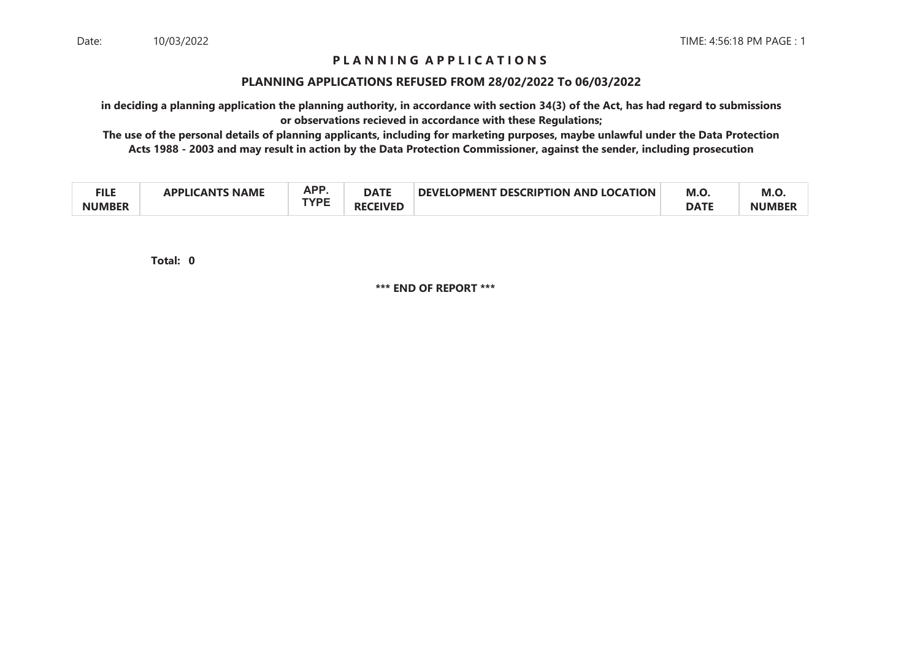## **P L A N N I N G A P P L I C A T I O N S**

#### **PLANNING APPLICATIONS REFUSED FROM 28/02/2022 To 06/03/2022**

**in deciding a planning application the planning authority, in accordance with section 34(3) of the Act, has had regard to submissionsor observations recieved in accordance with these Regulations;**

 **The use of the personal details of planning applicants, including for marketing purposes, maybe unlawful under the Data ProtectionActs 1988 - 2003 and may result in action by the Data Protection Commissioner, against the sender, including prosecution**

| ги с<br>▔▌▙▙  | <b>NAME</b><br>$\Lambda$ ant $\Lambda$<br>ומם. | ΔPΡ<br>n. | <b>DATE</b>  | <b>DESCRIPTION AND LOCATION</b><br>I OPMFNT<br><b>DEVEL</b> | M.O         | M.O.         |
|---------------|------------------------------------------------|-----------|--------------|-------------------------------------------------------------|-------------|--------------|
| <b>NUMBER</b> |                                                | TVDC      | CEIVEI<br>кþ |                                                             | <b>DATE</b> | <b>NUMBE</b> |

**0Total:**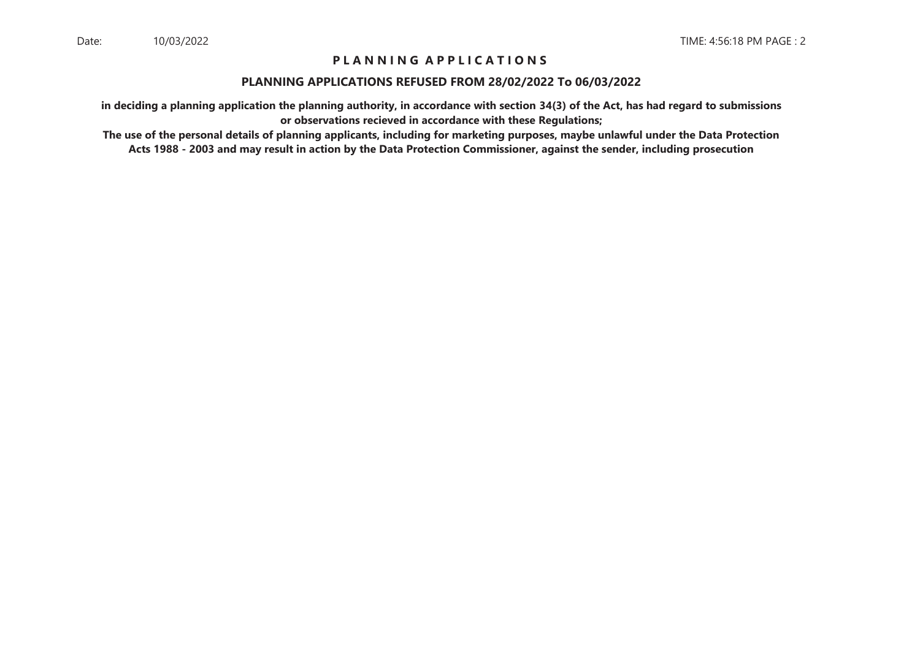## **P L A N N I N G A P P L I C A T I O N S**

#### **PLANNING APPLICATIONS REFUSED FROM 28/02/2022 To 06/03/2022**

**in deciding a planning application the planning authority, in accordance with section 34(3) of the Act, has had regard to submissionsor observations recieved in accordance with these Regulations;**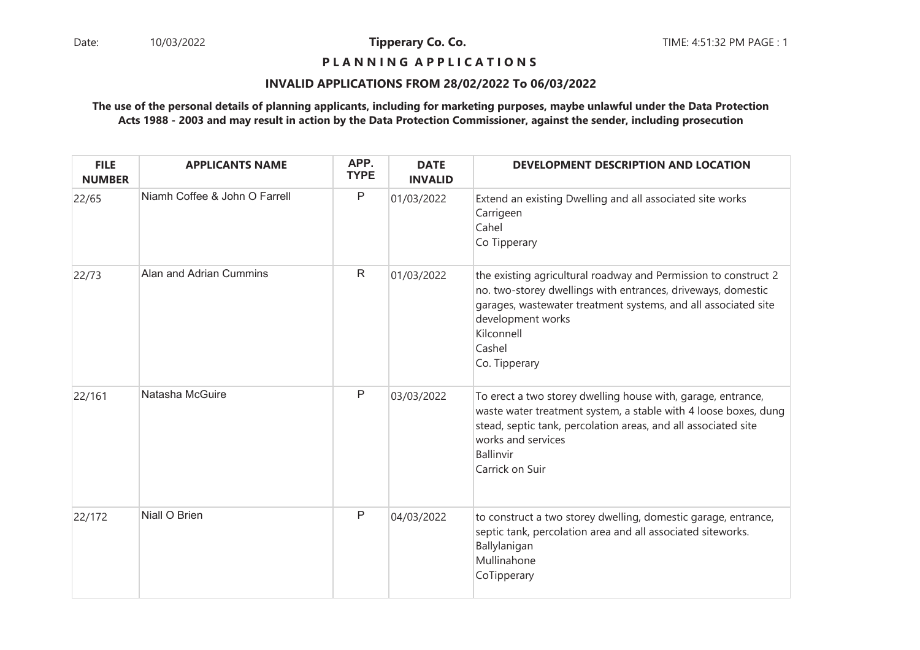## **P L A N N I N G A P P L I C A T I O N S**

#### **INVALID APPLICATIONS FROM 28/02/2022 To 06/03/2022**

| <b>FILE</b><br><b>NUMBER</b> | <b>APPLICANTS NAME</b>        | APP.<br><b>TYPE</b> | <b>DATE</b><br><b>INVALID</b> | DEVELOPMENT DESCRIPTION AND LOCATION                                                                                                                                                                                                                            |
|------------------------------|-------------------------------|---------------------|-------------------------------|-----------------------------------------------------------------------------------------------------------------------------------------------------------------------------------------------------------------------------------------------------------------|
| 22/65                        | Niamh Coffee & John O Farrell | Ρ                   | 01/03/2022                    | Extend an existing Dwelling and all associated site works<br>Carrigeen<br>Cahel<br>Co Tipperary                                                                                                                                                                 |
| 22/73                        | Alan and Adrian Cummins       | $\mathsf{R}$        | 01/03/2022                    | the existing agricultural roadway and Permission to construct 2<br>no. two-storey dwellings with entrances, driveways, domestic<br>garages, wastewater treatment systems, and all associated site<br>development works<br>Kilconnell<br>Cashel<br>Co. Tipperary |
| 22/161                       | Natasha McGuire               | P                   | 03/03/2022                    | To erect a two storey dwelling house with, garage, entrance,<br>waste water treatment system, a stable with 4 loose boxes, dung<br>stead, septic tank, percolation areas, and all associated site<br>works and services<br>Ballinvir<br>Carrick on Suir         |
| 22/172                       | Niall O Brien                 | Ρ                   | 04/03/2022                    | to construct a two storey dwelling, domestic garage, entrance,<br>septic tank, percolation area and all associated siteworks.<br>Ballylanigan<br>Mullinahone<br>CoTipperary                                                                                     |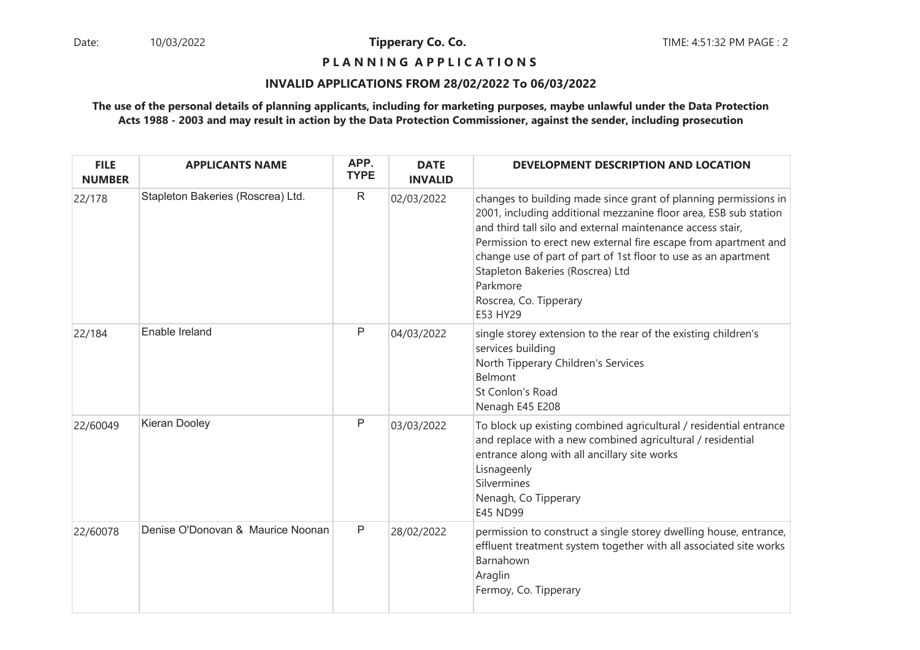**P L A N N I N G A P P L I C A T I O N S** 

#### **INVALID APPLICATIONS FROM 28/02/2022 To 06/03/2022**

| <b>FILE</b><br><b>NUMBER</b> | <b>APPLICANTS NAME</b>            | APP.<br><b>TYPE</b> | <b>DATE</b><br><b>INVALID</b> | DEVELOPMENT DESCRIPTION AND LOCATION                                                                                                                                                                                                                                                                                                                                                                                         |
|------------------------------|-----------------------------------|---------------------|-------------------------------|------------------------------------------------------------------------------------------------------------------------------------------------------------------------------------------------------------------------------------------------------------------------------------------------------------------------------------------------------------------------------------------------------------------------------|
| 22/178                       | Stapleton Bakeries (Roscrea) Ltd. | $\mathsf{R}$        | 02/03/2022                    | changes to building made since grant of planning permissions in<br>2001, including additional mezzanine floor area, ESB sub station<br>and third tall silo and external maintenance access stair,<br>Permission to erect new external fire escape from apartment and<br>change use of part of part of 1st floor to use as an apartment<br>Stapleton Bakeries (Roscrea) Ltd<br>Parkmore<br>Roscrea, Co. Tipperary<br>E53 HY29 |
| 22/184                       | Enable Ireland                    | P                   | 04/03/2022                    | single storey extension to the rear of the existing children's<br>services building<br>North Tipperary Children's Services<br>Belmont<br>St Conlon's Road<br>Nenagh E45 E208                                                                                                                                                                                                                                                 |
| 22/60049                     | Kieran Dooley                     | Ρ                   | 03/03/2022                    | To block up existing combined agricultural / residential entrance<br>and replace with a new combined agricultural / residential<br>entrance along with all ancillary site works<br>Lisnageenly<br>Silvermines<br>Nenagh, Co Tipperary<br>E45 ND99                                                                                                                                                                            |
| 22/60078                     | Denise O'Donovan & Maurice Noonan | P                   | 28/02/2022                    | permission to construct a single storey dwelling house, entrance,<br>effluent treatment system together with all associated site works<br>Barnahown<br>Araglin<br>Fermoy, Co. Tipperary                                                                                                                                                                                                                                      |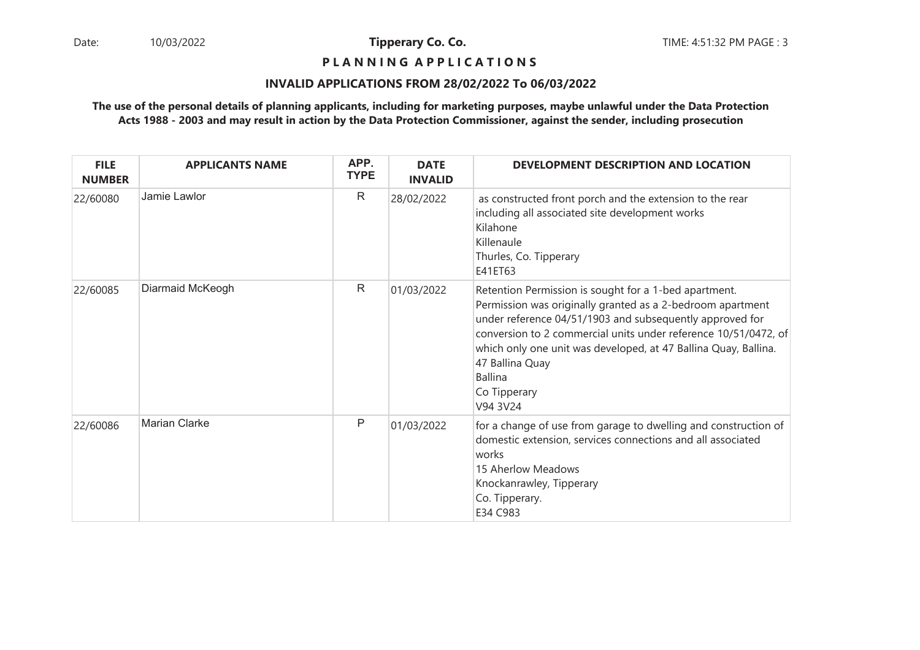## **P L A N N I N G A P P L I C A T I O N S**

#### **INVALID APPLICATIONS FROM 28/02/2022 To 06/03/2022**

| <b>FILE</b><br><b>NUMBER</b> | <b>APPLICANTS NAME</b> | APP.<br><b>TYPE</b> | <b>DATE</b><br><b>INVALID</b> | DEVELOPMENT DESCRIPTION AND LOCATION                                                                                                                                                                                                                                                                                                                                                   |
|------------------------------|------------------------|---------------------|-------------------------------|----------------------------------------------------------------------------------------------------------------------------------------------------------------------------------------------------------------------------------------------------------------------------------------------------------------------------------------------------------------------------------------|
| 22/60080                     | Jamie Lawlor           | $\mathsf{R}$        | 28/02/2022                    | as constructed front porch and the extension to the rear<br>including all associated site development works<br>Kilahone<br>Killenaule<br>Thurles, Co. Tipperary<br>E41ET63                                                                                                                                                                                                             |
| 22/60085                     | Diarmaid McKeogh       | R                   | 01/03/2022                    | Retention Permission is sought for a 1-bed apartment.<br>Permission was originally granted as a 2-bedroom apartment<br>under reference 04/51/1903 and subsequently approved for<br>conversion to 2 commercial units under reference 10/51/0472, of<br>which only one unit was developed, at 47 Ballina Quay, Ballina.<br>47 Ballina Quay<br><b>Ballina</b><br>Co Tipperary<br>V94 3V24 |
| 22/60086                     | Marian Clarke          | P                   | 01/03/2022                    | for a change of use from garage to dwelling and construction of<br>domestic extension, services connections and all associated<br>works<br>15 Aherlow Meadows<br>Knockanrawley, Tipperary<br>Co. Tipperary.<br>E34 C983                                                                                                                                                                |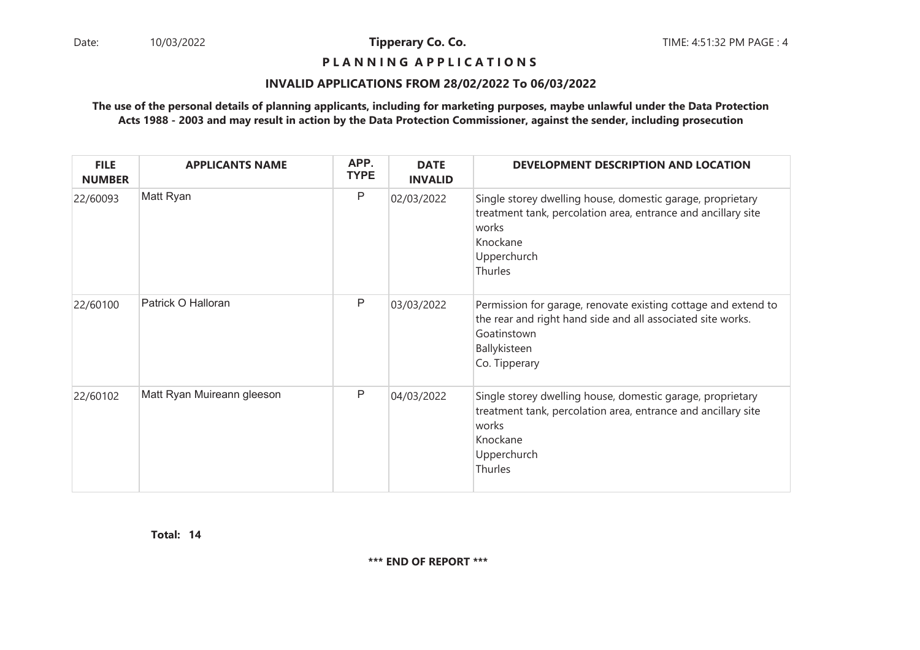## **P L A N N I N G A P P L I C A T I O N S**

#### **INVALID APPLICATIONS FROM 28/02/2022 To 06/03/2022**

### **The use of the personal details of planning applicants, including for marketing purposes, maybe unlawful under the Data ProtectionActs 1988 - 2003 and may result in action by the Data Protection Commissioner, against the sender, including prosecution**

| <b>FILE</b><br><b>NUMBER</b> | <b>APPLICANTS NAME</b>     | APP.<br><b>TYPE</b> | <b>DATE</b><br><b>INVALID</b> | DEVELOPMENT DESCRIPTION AND LOCATION                                                                                                                                          |
|------------------------------|----------------------------|---------------------|-------------------------------|-------------------------------------------------------------------------------------------------------------------------------------------------------------------------------|
| 22/60093                     | Matt Ryan                  | Ρ                   | 02/03/2022                    | Single storey dwelling house, domestic garage, proprietary<br>treatment tank, percolation area, entrance and ancillary site<br>works<br>Knockane<br>Upperchurch<br>Thurles    |
| 22/60100                     | Patrick O Halloran         | Ρ                   | 03/03/2022                    | Permission for garage, renovate existing cottage and extend to<br>the rear and right hand side and all associated site works.<br>Goatinstown<br>Ballykisteen<br>Co. Tipperary |
| 22/60102                     | Matt Ryan Muireann gleeson | Ρ                   | 04/03/2022                    | Single storey dwelling house, domestic garage, proprietary<br>treatment tank, percolation area, entrance and ancillary site<br>works<br>Knockane<br>Upperchurch<br>Thurles    |

**14Total:**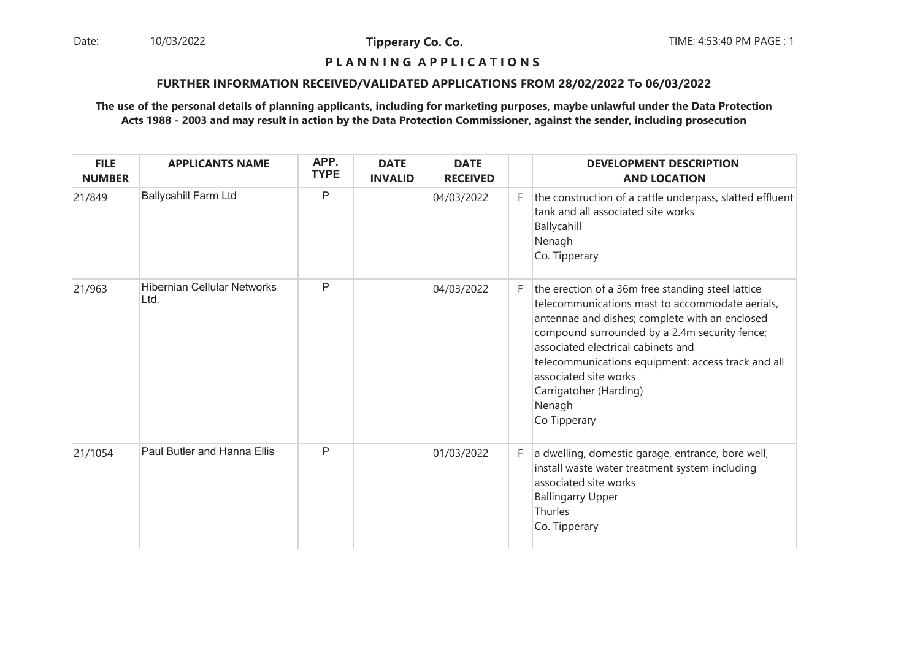Date: 10/03/2022 **Tipperary Co. Co. The Co. Co.** TIME: 4:53:40 PM PAGE : 1 10/03/2022

**Tipperary Co. Co.**

## **P L A N N I N G A P P L I C A T I O N S**

#### **FURTHER INFORMATION RECEIVED/VALIDATED APPLICATIONS FROM 28/02/2022 To 06/03/2022**

| <b>FILE</b><br><b>NUMBER</b> | <b>APPLICANTS NAME</b>                     | APP.<br><b>TYPE</b> | <b>DATE</b><br><b>INVALID</b> | <b>DATE</b><br><b>RECEIVED</b> |    | <b>DEVELOPMENT DESCRIPTION</b><br><b>AND LOCATION</b>                                                                                                                                                                                                                                                                                                                            |
|------------------------------|--------------------------------------------|---------------------|-------------------------------|--------------------------------|----|----------------------------------------------------------------------------------------------------------------------------------------------------------------------------------------------------------------------------------------------------------------------------------------------------------------------------------------------------------------------------------|
| 21/849                       | <b>Ballycahill Farm Ltd</b>                | P                   |                               | 04/03/2022                     | F. | the construction of a cattle underpass, slatted effluent<br>tank and all associated site works<br>Ballycahill<br>Nenagh<br>Co. Tipperary                                                                                                                                                                                                                                         |
| 21/963                       | <b>Hibernian Cellular Networks</b><br>Ltd. | $\mathsf{P}$        |                               | 04/03/2022                     | F. | the erection of a 36m free standing steel lattice<br>telecommunications mast to accommodate aerials,<br>antennae and dishes; complete with an enclosed<br>compound surrounded by a 2.4m security fence;<br>associated electrical cabinets and<br>telecommunications equipment: access track and all<br>associated site works<br>Carrigatoher (Harding)<br>Nenagh<br>Co Tipperary |
| 21/1054                      | Paul Butler and Hanna Ellis                | $\mathsf{P}$        |                               | 01/03/2022                     | F. | a dwelling, domestic garage, entrance, bore well,<br>install waste water treatment system including<br>associated site works<br><b>Ballingarry Upper</b><br>Thurles<br>Co. Tipperary                                                                                                                                                                                             |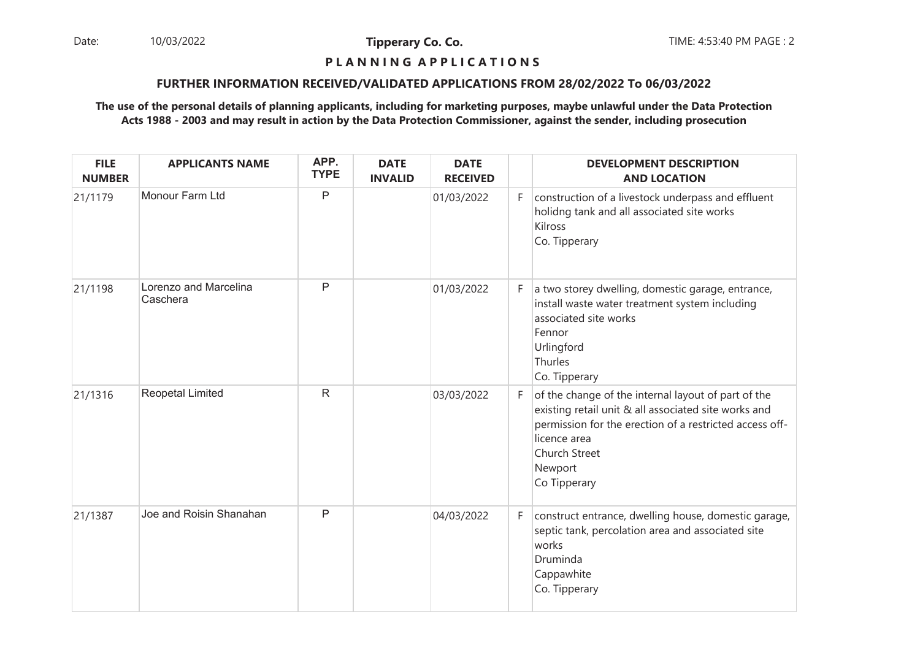Date: 10/03/2022 **Tipperary Co. Co. The Co. Co.** TIME: 4:53:40 PM PAGE : 2 10/03/2022

**Tipperary Co. Co.**

## **P L A N N I N G A P P L I C A T I O N S**

#### **FURTHER INFORMATION RECEIVED/VALIDATED APPLICATIONS FROM 28/02/2022 To 06/03/2022**

| <b>FILE</b><br><b>NUMBER</b> | <b>APPLICANTS NAME</b>            | APP.<br><b>TYPE</b> | <b>DATE</b><br><b>INVALID</b> | <b>DATE</b><br><b>RECEIVED</b> |    | <b>DEVELOPMENT DESCRIPTION</b><br><b>AND LOCATION</b>                                                                                                                                                                              |
|------------------------------|-----------------------------------|---------------------|-------------------------------|--------------------------------|----|------------------------------------------------------------------------------------------------------------------------------------------------------------------------------------------------------------------------------------|
| 21/1179                      | Monour Farm Ltd                   | $\mathsf{P}$        |                               | 01/03/2022                     | F. | construction of a livestock underpass and effluent<br>holidng tank and all associated site works<br>Kilross<br>Co. Tipperary                                                                                                       |
| 21/1198                      | Lorenzo and Marcelina<br>Caschera | P                   |                               | 01/03/2022                     | F  | a two storey dwelling, domestic garage, entrance,<br>install waste water treatment system including<br>associated site works<br>Fennor<br>Urlingford<br>Thurles<br>Co. Tipperary                                                   |
| 21/1316                      | <b>Reopetal Limited</b>           | ${\sf R}$           |                               | 03/03/2022                     | F. | of the change of the internal layout of part of the<br>existing retail unit & all associated site works and<br>permission for the erection of a restricted access off-<br>licence area<br>Church Street<br>Newport<br>Co Tipperary |
| 21/1387                      | Joe and Roisin Shanahan           | $\mathsf{P}$        |                               | 04/03/2022                     | F  | construct entrance, dwelling house, domestic garage,<br>septic tank, percolation area and associated site<br>works<br>Druminda<br>Cappawhite<br>Co. Tipperary                                                                      |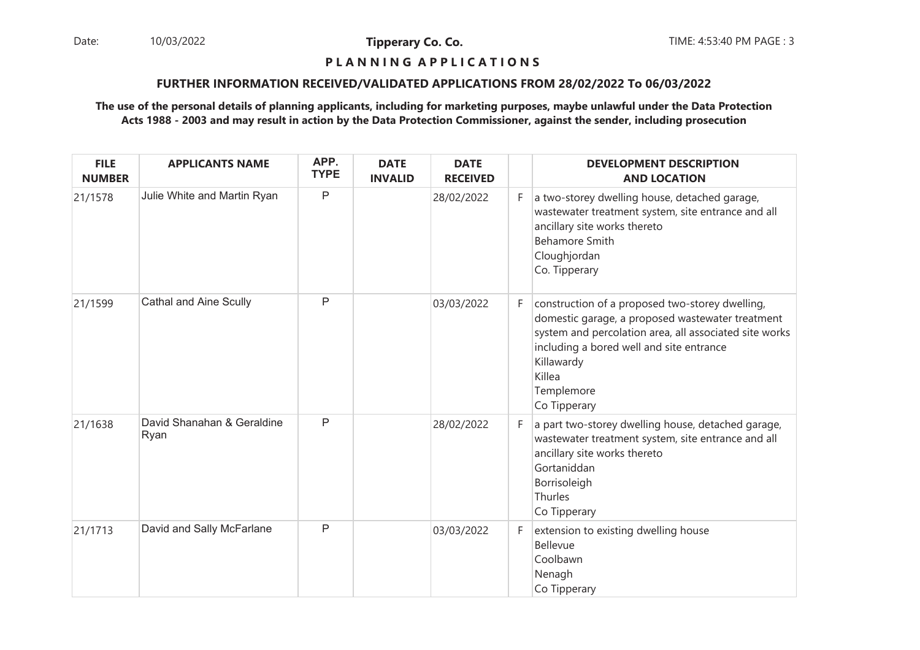Date: 10/03/2022 **Tipperary Co. Co. Co.** The: 4:53:40 PM PAGE : 3 10/03/2022

**Tipperary Co. Co.**

## **P L A N N I N G A P P L I C A T I O N S**

#### **FURTHER INFORMATION RECEIVED/VALIDATED APPLICATIONS FROM 28/02/2022 To 06/03/2022**

| <b>FILE</b><br><b>NUMBER</b> | <b>APPLICANTS NAME</b>             | APP.<br><b>TYPE</b> | <b>DATE</b><br><b>INVALID</b> | <b>DATE</b><br><b>RECEIVED</b> |    | <b>DEVELOPMENT DESCRIPTION</b><br><b>AND LOCATION</b>                                                                                                                                                                                                           |
|------------------------------|------------------------------------|---------------------|-------------------------------|--------------------------------|----|-----------------------------------------------------------------------------------------------------------------------------------------------------------------------------------------------------------------------------------------------------------------|
| 21/1578                      | Julie White and Martin Ryan        | P                   |                               | 28/02/2022                     | F. | a two-storey dwelling house, detached garage,<br>wastewater treatment system, site entrance and all<br>ancillary site works thereto<br><b>Behamore Smith</b><br>Cloughjordan<br>Co. Tipperary                                                                   |
| 21/1599                      | <b>Cathal and Aine Scully</b>      | P                   |                               | 03/03/2022                     | F. | construction of a proposed two-storey dwelling,<br>domestic garage, a proposed wastewater treatment<br>system and percolation area, all associated site works<br>including a bored well and site entrance<br>Killawardy<br>Killea<br>Templemore<br>Co Tipperary |
| 21/1638                      | David Shanahan & Geraldine<br>Ryan | P                   |                               | 28/02/2022                     | F. | a part two-storey dwelling house, detached garage,<br>wastewater treatment system, site entrance and all<br>ancillary site works thereto<br>Gortaniddan<br>Borrisoleigh<br>Thurles<br>Co Tipperary                                                              |
| 21/1713                      | David and Sally McFarlane          | P                   |                               | 03/03/2022                     | F. | extension to existing dwelling house<br>Bellevue<br>Coolbawn<br>Nenagh<br>Co Tipperary                                                                                                                                                                          |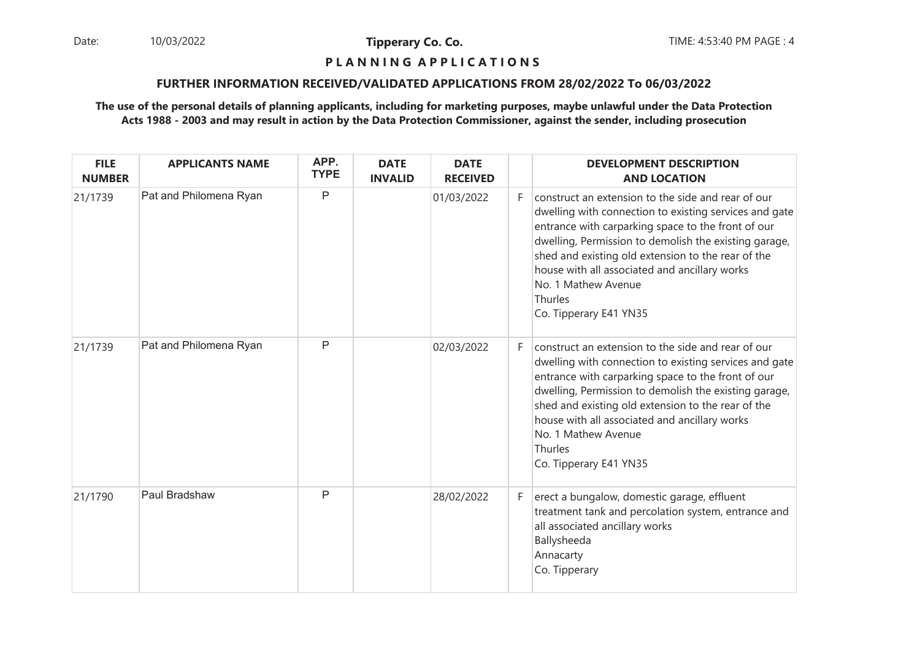Date: 10/03/2022 **Tipperary Co. Co. The Co. Co.** TIME: 4:53:40 PM PAGE : 4 10/03/2022

**Tipperary Co. Co.**

#### **P L A N N I N G A P P L I C A T I O N S**

#### **FURTHER INFORMATION RECEIVED/VALIDATED APPLICATIONS FROM 28/02/2022 To 06/03/2022**

| <b>FILE</b><br><b>NUMBER</b> | <b>APPLICANTS NAME</b> | APP.<br><b>TYPE</b> | <b>DATE</b><br><b>INVALID</b> | <b>DATE</b><br><b>RECEIVED</b> |    | <b>DEVELOPMENT DESCRIPTION</b><br><b>AND LOCATION</b>                                                                                                                                                                                                                                                                                                                                          |
|------------------------------|------------------------|---------------------|-------------------------------|--------------------------------|----|------------------------------------------------------------------------------------------------------------------------------------------------------------------------------------------------------------------------------------------------------------------------------------------------------------------------------------------------------------------------------------------------|
| 21/1739                      | Pat and Philomena Ryan | P                   |                               | 01/03/2022                     | F. | construct an extension to the side and rear of our<br>dwelling with connection to existing services and gate<br>entrance with carparking space to the front of our<br>dwelling, Permission to demolish the existing garage,<br>shed and existing old extension to the rear of the<br>house with all associated and ancillary works<br>No. 1 Mathew Avenue<br>Thurles<br>Co. Tipperary E41 YN35 |
| 21/1739                      | Pat and Philomena Ryan | P                   |                               | 02/03/2022                     | F. | construct an extension to the side and rear of our<br>dwelling with connection to existing services and gate<br>entrance with carparking space to the front of our<br>dwelling, Permission to demolish the existing garage,<br>shed and existing old extension to the rear of the<br>house with all associated and ancillary works<br>No. 1 Mathew Avenue<br>Thurles<br>Co. Tipperary E41 YN35 |
| 21/1790                      | Paul Bradshaw          | P                   |                               | 28/02/2022                     | F. | erect a bungalow, domestic garage, effluent<br>treatment tank and percolation system, entrance and<br>all associated ancillary works<br>Ballysheeda<br>Annacarty<br>Co. Tipperary                                                                                                                                                                                                              |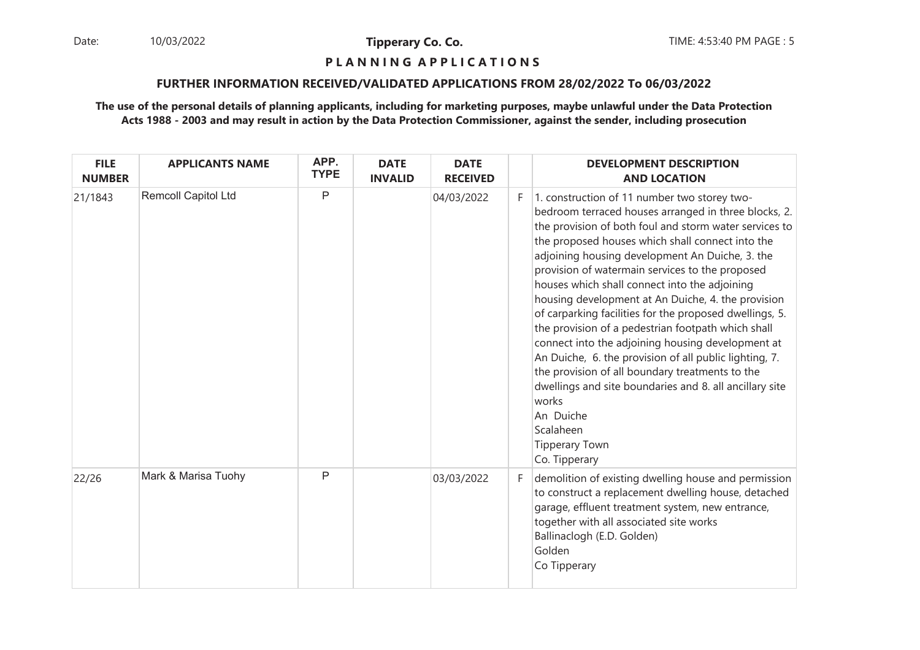Date: 10/03/2022 **Tipperary Co. Co. Co.** The: 4:53:40 PM PAGE : 5 10/03/2022

**Tipperary Co. Co.**

#### **P L A N N I N G A P P L I C A T I O N S**

#### **FURTHER INFORMATION RECEIVED/VALIDATED APPLICATIONS FROM 28/02/2022 To 06/03/2022**

| <b>FILE</b><br><b>NUMBER</b> | <b>APPLICANTS NAME</b>     | APP.<br><b>TYPE</b> | <b>DATE</b><br><b>INVALID</b> | <b>DATE</b><br><b>RECEIVED</b> |    | <b>DEVELOPMENT DESCRIPTION</b><br><b>AND LOCATION</b>                                                                                                                                                                                                                                                                                                                                                                                                                                                                                                                                                                                                                                                                                                                                                                                               |
|------------------------------|----------------------------|---------------------|-------------------------------|--------------------------------|----|-----------------------------------------------------------------------------------------------------------------------------------------------------------------------------------------------------------------------------------------------------------------------------------------------------------------------------------------------------------------------------------------------------------------------------------------------------------------------------------------------------------------------------------------------------------------------------------------------------------------------------------------------------------------------------------------------------------------------------------------------------------------------------------------------------------------------------------------------------|
| 21/1843                      | <b>Remcoll Capitol Ltd</b> | P                   |                               | 04/03/2022                     | F. | 1. construction of 11 number two storey two-<br>bedroom terraced houses arranged in three blocks, 2.<br>the provision of both foul and storm water services to<br>the proposed houses which shall connect into the<br>adjoining housing development An Duiche, 3. the<br>provision of watermain services to the proposed<br>houses which shall connect into the adjoining<br>housing development at An Duiche, 4. the provision<br>of carparking facilities for the proposed dwellings, 5.<br>the provision of a pedestrian footpath which shall<br>connect into the adjoining housing development at<br>An Duiche, 6. the provision of all public lighting, 7.<br>the provision of all boundary treatments to the<br>dwellings and site boundaries and 8. all ancillary site<br>works<br>An Duiche<br>Scalaheen<br>Tipperary Town<br>Co. Tipperary |
| 22/26                        | Mark & Marisa Tuohy        | P                   |                               | 03/03/2022                     | F. | demolition of existing dwelling house and permission<br>to construct a replacement dwelling house, detached<br>garage, effluent treatment system, new entrance,<br>together with all associated site works<br>Ballinaclogh (E.D. Golden)<br>Golden<br>Co Tipperary                                                                                                                                                                                                                                                                                                                                                                                                                                                                                                                                                                                  |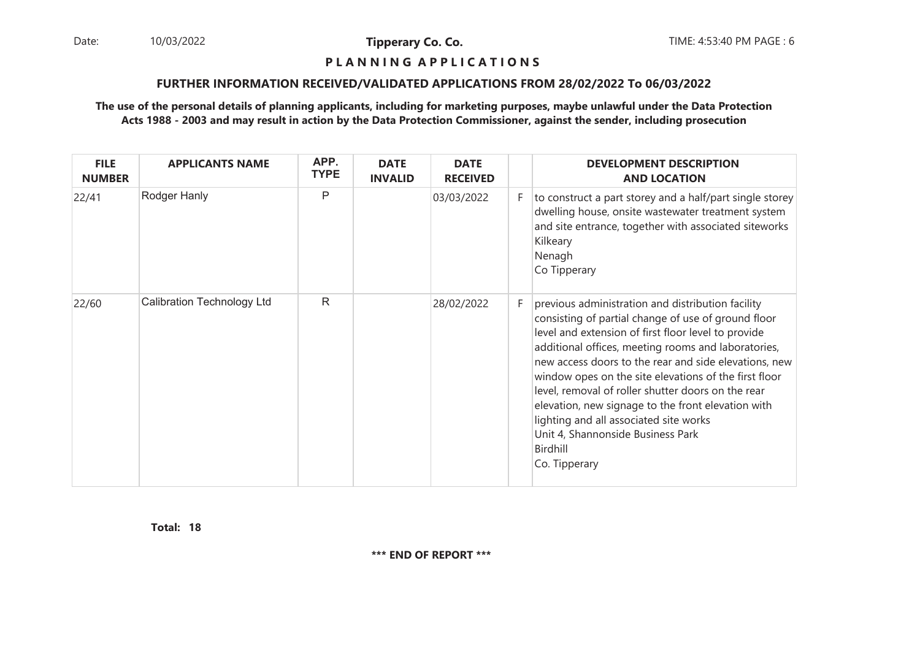Date: 10/03/2022 **Tipperary Co. Co. The Co. Co.** TIME: 4:53:40 PM PAGE : 6 10/03/2022

**Tipperary Co. Co.**

#### **P L A N N I N G A P P L I C A T I O N S**

#### **FURTHER INFORMATION RECEIVED/VALIDATED APPLICATIONS FROM 28/02/2022 To 06/03/2022**

### **The use of the personal details of planning applicants, including for marketing purposes, maybe unlawful under the Data ProtectionActs 1988 - 2003 and may result in action by the Data Protection Commissioner, against the sender, including prosecution**

| <b>FILE</b><br><b>NUMBER</b> | <b>APPLICANTS NAME</b>            | APP.<br><b>TYPE</b> | <b>DATE</b><br><b>INVALID</b> | <b>DATE</b><br><b>RECEIVED</b> |    | <b>DEVELOPMENT DESCRIPTION</b><br><b>AND LOCATION</b>                                                                                                                                                                                                                                                                                                                                                                                                                                                                                                            |
|------------------------------|-----------------------------------|---------------------|-------------------------------|--------------------------------|----|------------------------------------------------------------------------------------------------------------------------------------------------------------------------------------------------------------------------------------------------------------------------------------------------------------------------------------------------------------------------------------------------------------------------------------------------------------------------------------------------------------------------------------------------------------------|
| 22/41                        | Rodger Hanly                      | P                   |                               | 03/03/2022                     | F. | to construct a part storey and a half/part single storey<br>dwelling house, onsite wastewater treatment system<br>and site entrance, together with associated siteworks<br>Kilkeary<br>Nenagh<br>Co Tipperary                                                                                                                                                                                                                                                                                                                                                    |
| 22/60                        | <b>Calibration Technology Ltd</b> | R                   |                               | 28/02/2022                     | F. | previous administration and distribution facility<br>consisting of partial change of use of ground floor<br>level and extension of first floor level to provide<br>additional offices, meeting rooms and laboratories,<br>new access doors to the rear and side elevations, new<br>window opes on the site elevations of the first floor<br>level, removal of roller shutter doors on the rear<br>elevation, new signage to the front elevation with<br>lighting and all associated site works<br>Unit 4, Shannonside Business Park<br>Birdhill<br>Co. Tipperary |

**18Total:**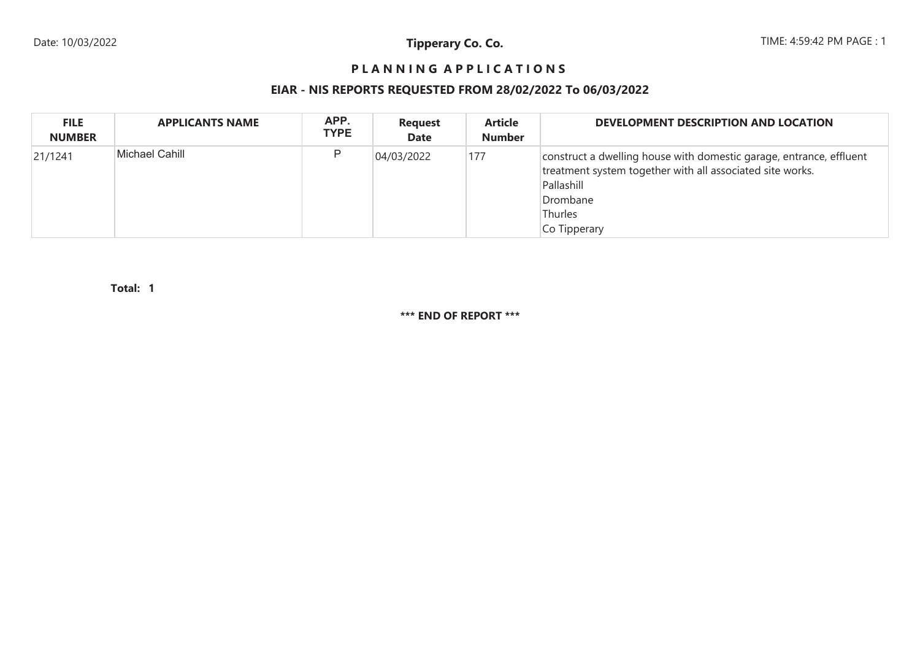## **P L A N N I N G A P P L I C A T I O N S**

## **EIAR - NIS REPORTS REQUESTED FROM 28/02/2022 To 06/03/2022**

| <b>FILE</b><br><b>NUMBER</b> | <b>APPLICANTS NAME</b> | APP.<br><b>TYPE</b> | <b>Request</b><br><b>Date</b> | <b>Article</b><br><b>Number</b> | <b>DEVELOPMENT DESCRIPTION AND LOCATION</b>                                                                                                                                           |
|------------------------------|------------------------|---------------------|-------------------------------|---------------------------------|---------------------------------------------------------------------------------------------------------------------------------------------------------------------------------------|
| 21/1241                      | Michael Cahill         | P                   | 04/03/2022                    | 177                             | construct a dwelling house with domestic garage, entrance, effluent<br>treatment system together with all associated site works.<br>Pallashill<br>Drombane<br>Thurles<br>Co Tipperary |

**1Total:**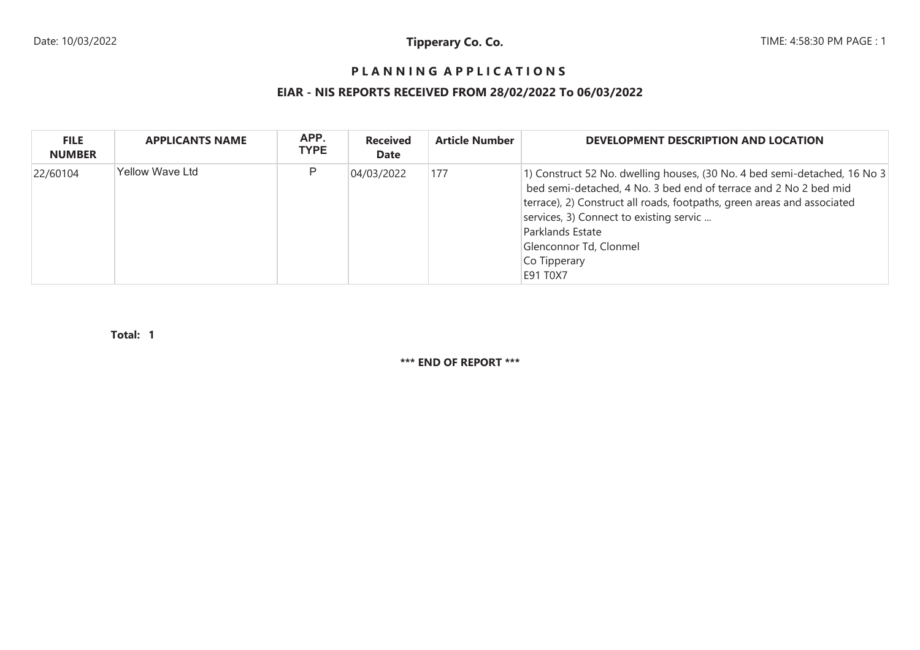## **P L A N N I N G A P P L I C A T I O N S**

# **EIAR - NIS REPORTS RECEIVED FROM 28/02/2022 To 06/03/2022**

| <b>FILE</b><br><b>NUMBER</b> | <b>APPLICANTS NAME</b> | APP.<br><b>TYPE</b> | <b>Received</b><br><b>Date</b> | <b>Article Number</b> | DEVELOPMENT DESCRIPTION AND LOCATION                                                                                                                                                                                                                                                                                                          |
|------------------------------|------------------------|---------------------|--------------------------------|-----------------------|-----------------------------------------------------------------------------------------------------------------------------------------------------------------------------------------------------------------------------------------------------------------------------------------------------------------------------------------------|
| 22/60104                     | <b>Yellow Wave Ltd</b> | P                   | 04/03/2022                     | 177                   | 1) Construct 52 No. dwelling houses, (30 No. 4 bed semi-detached, 16 No 3<br>bed semi-detached, 4 No. 3 bed end of terrace and 2 No 2 bed mid<br>terrace), 2) Construct all roads, footpaths, green areas and associated<br>services, 3) Connect to existing servic<br>Parklands Estate<br>Glenconnor Td, Clonmel<br>Co Tipperary<br>E91 T0X7 |

**1Total:**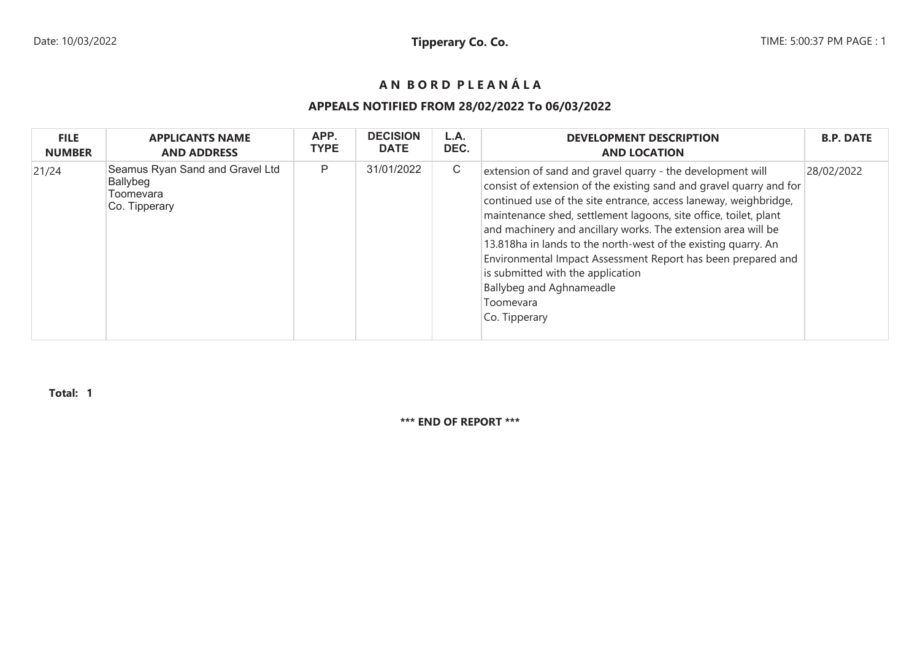# **A N B O R D P L E A N Á L A**

## **APPEALS NOTIFIED FROM 28/02/2022 To 06/03/2022**

| <b>FILE</b>   | <b>APPLICANTS NAME</b>                                                    | APP.        | <b>DECISION</b> | L.A. | <b>DEVELOPMENT DESCRIPTION</b>                                                                                                                                                                                                                                                                                                                                                                                                                                                                                                                                              | <b>B.P. DATE</b> |
|---------------|---------------------------------------------------------------------------|-------------|-----------------|------|-----------------------------------------------------------------------------------------------------------------------------------------------------------------------------------------------------------------------------------------------------------------------------------------------------------------------------------------------------------------------------------------------------------------------------------------------------------------------------------------------------------------------------------------------------------------------------|------------------|
| <b>NUMBER</b> | <b>AND ADDRESS</b>                                                        | <b>TYPE</b> | <b>DATE</b>     | DEC. | <b>AND LOCATION</b>                                                                                                                                                                                                                                                                                                                                                                                                                                                                                                                                                         |                  |
| 21/24         | Seamus Ryan Sand and Gravel Ltd<br>Ballybeg<br>Toomevara<br>Co. Tipperary | P           | 31/01/2022      | C    | extension of sand and gravel quarry - the development will<br>consist of extension of the existing sand and gravel quarry and for<br>continued use of the site entrance, access laneway, weighbridge,<br>maintenance shed, settlement lagoons, site office, toilet, plant<br>and machinery and ancillary works. The extension area will be<br>13.818ha in lands to the north-west of the existing quarry. An<br>Environmental Impact Assessment Report has been prepared and<br>is submitted with the application<br>Ballybeg and Aghnameadle<br>Toomevara<br>Co. Tipperary | 28/02/2022       |

**Total: 1**